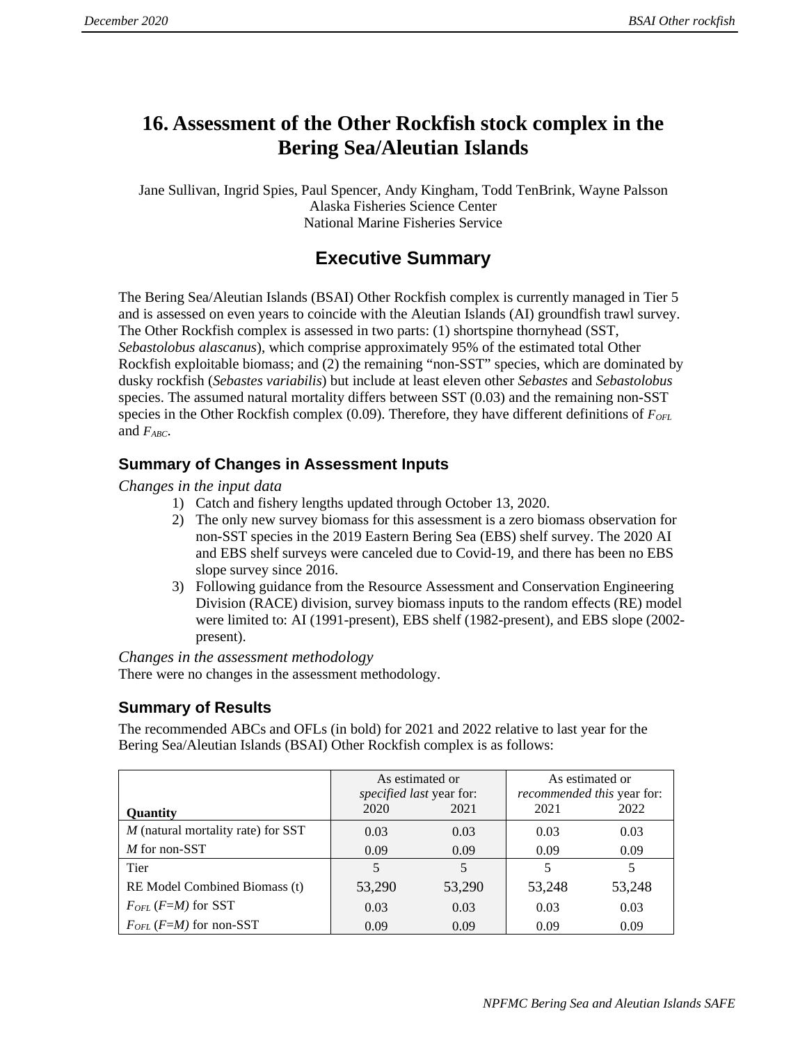# **16. Assessment of the Other Rockfish stock complex in the Bering Sea/Aleutian Islands**

Jane Sullivan, Ingrid Spies, Paul Spencer, Andy Kingham, Todd TenBrink, Wayne Palsson Alaska Fisheries Science Center National Marine Fisheries Service

# **Executive Summary**

The Bering Sea/Aleutian Islands (BSAI) Other Rockfish complex is currently managed in Tier 5 and is assessed on even years to coincide with the Aleutian Islands (AI) groundfish trawl survey. The Other Rockfish complex is assessed in two parts: (1) shortspine thornyhead (SST, *Sebastolobus alascanus*), which comprise approximately 95% of the estimated total Other Rockfish exploitable biomass; and (2) the remaining "non-SST" species, which are dominated by dusky rockfish (*Sebastes variabilis*) but include at least eleven other *Sebastes* and *Sebastolobus*  species. The assumed natural mortality differs between SST (0.03) and the remaining non-SST species in the Other Rockfish complex (0.09). Therefore, they have different definitions of *F<sub>OFL</sub>* and *FABC*.

## **Summary of Changes in Assessment Inputs**

*Changes in the input data* 

- 1) Catch and fishery lengths updated through October 13, 2020.
- 2) The only new survey biomass for this assessment is a zero biomass observation for non-SST species in the 2019 Eastern Bering Sea (EBS) shelf survey. The 2020 AI and EBS shelf surveys were canceled due to Covid-19, and there has been no EBS slope survey since 2016.
- 3) Following guidance from the Resource Assessment and Conservation Engineering Division (RACE) division, survey biomass inputs to the random effects (RE) model were limited to: AI (1991-present), EBS shelf (1982-present), and EBS slope (2002 present).

*Changes in the assessment methodology*  There were no changes in the assessment methodology.

## **Summary of Results**

The recommended ABCs and OFLs (in bold) for 2021 and 2022 relative to last year for the Bering Sea/Aleutian Islands (BSAI) Other Rockfish complex is as follows:

|                                    | As estimated or<br>specified last year for: |        | As estimated or<br><i>recommended this</i> year for: |        |  |
|------------------------------------|---------------------------------------------|--------|------------------------------------------------------|--------|--|
| <b>Ouantity</b>                    | 2020                                        | 2021   | 2021                                                 | 2022   |  |
| M (natural mortality rate) for SST | 0.03                                        | 0.03   | 0.03                                                 | 0.03   |  |
| M for non-SST                      | 0.09                                        | 0.09   | 0.09                                                 | 0.09   |  |
| Tier                               | 5                                           | 5      | 5                                                    | 5      |  |
| RE Model Combined Biomass (t)      | 53,290                                      | 53,290 | 53,248                                               | 53,248 |  |
| $F_{OFL}$ (F=M) for SST            | 0.03                                        | 0.03   | 0.03                                                 | 0.03   |  |
| $F_{OFL}$ (F=M) for non-SST        | 0.09                                        | 0.09   | 0.09                                                 | 0.09   |  |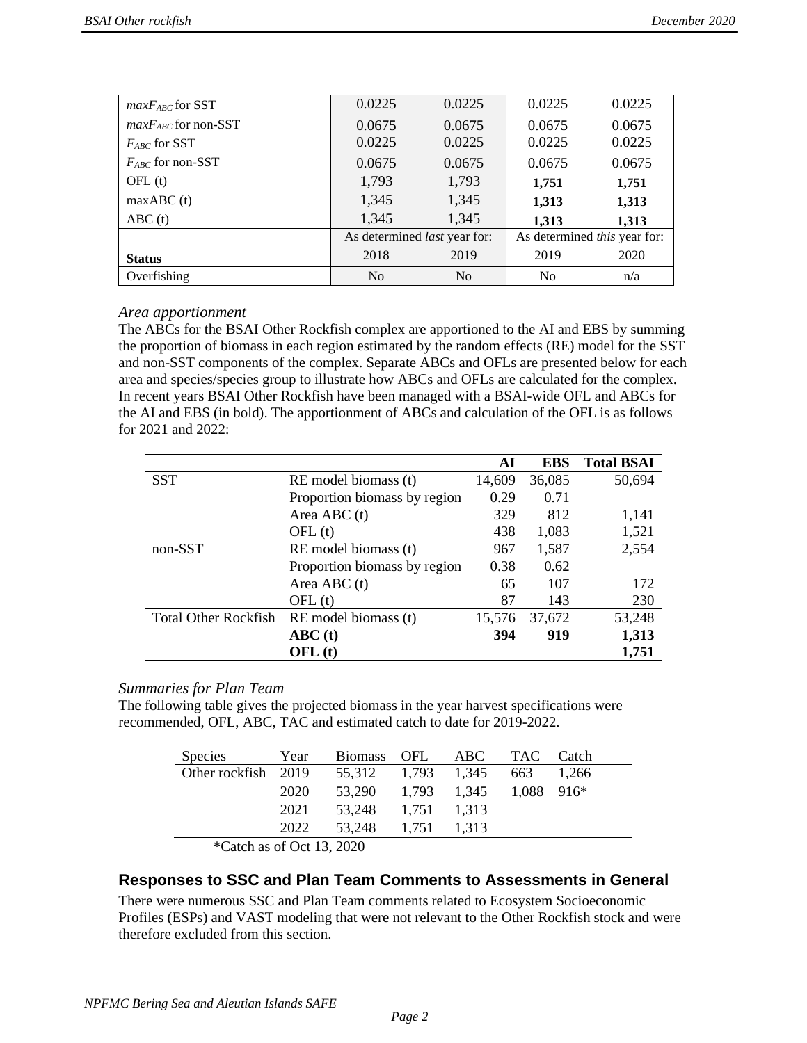| $maxF_{ABC}$ for SST     | 0.0225         | 0.0225                              | 0.0225                       | 0.0225 |  |
|--------------------------|----------------|-------------------------------------|------------------------------|--------|--|
| $maxF_{ABC}$ for non-SST | 0.0675         | 0.0675                              | 0.0675                       | 0.0675 |  |
| $F_{ABC}$ for SST        | 0.0225         | 0.0225                              | 0.0225                       | 0.0225 |  |
| $F_{ABC}$ for non-SST    | 0.0675         | 0.0675                              | 0.0675                       | 0.0675 |  |
| OFL(t)                   | 1,793          | 1,793                               | 1,751                        | 1,751  |  |
| maxABC(t)                | 1,345          | 1,345                               | 1,313                        | 1,313  |  |
| ABC(t)                   | 1,345          | 1,345                               | 1,313                        | 1,313  |  |
|                          |                | As determined <i>last</i> year for: | As determined this year for: |        |  |
| <b>Status</b>            | 2018           | 2019                                | 2019                         | 2020   |  |
| Overfishing              | N <sub>0</sub> | No                                  | N <sub>0</sub>               | n/a    |  |

### *Area apportionment*

The ABCs for the BSAI Other Rockfish complex are apportioned to the AI and EBS by summing the proportion of biomass in each region estimated by the random effects (RE) model for the SST and non-SST components of the complex. Separate ABCs and OFLs are presented below for each area and species/species group to illustrate how ABCs and OFLs are calculated for the complex. In recent years BSAI Other Rockfish have been managed with a BSAI-wide OFL and ABCs for the AI and EBS (in bold). The apportionment of ABCs and calculation of the OFL is as follows for 2021 and 2022:

|                             |                              | AI     | <b>EBS</b> | <b>Total BSAI</b> |
|-----------------------------|------------------------------|--------|------------|-------------------|
| <b>SST</b>                  | RE model biomass (t)         | 14,609 | 36,085     | 50,694            |
|                             | Proportion biomass by region | 0.29   | 0.71       |                   |
|                             | Area ABC $(t)$               | 329    | 812        | 1,141             |
|                             | OFL(t)                       | 438    | 1,083      | 1,521             |
| non-SST                     | RE model biomass (t)         | 967    | 1,587      | 2,554             |
|                             | Proportion biomass by region | 0.38   | 0.62       |                   |
|                             | Area ABC $(t)$               | 65     | 107        | 172               |
|                             | OFL(t)                       | 87     | 143        | 230               |
| <b>Total Other Rockfish</b> | RE model biomass (t)         | 15,576 | 37,672     | 53,248            |
|                             | ABC(t)                       | 394    | 919        | 1,313             |
|                             | OFL(f)                       |        |            | 1,751             |

### *Summaries for Plan Team*

The following table gives the projected biomass in the year harvest specifications were recommended, OFL, ABC, TAC and estimated catch to date for 2019-2022.

| <b>Species</b>                              | Year | <b>Biomass</b>     | OFL         | ABC TAC Catch |              |       |
|---------------------------------------------|------|--------------------|-------------|---------------|--------------|-------|
| Other rockfish 2019                         |      | 55,312 1,793 1,345 |             |               | 663          | 1.266 |
|                                             | 2020 | 53,290             |             | 1,793 1,345   | $1.088$ 916* |       |
|                                             | 2021 | 53,248             | 1.751 1.313 |               |              |       |
|                                             | 2022 | 53,248             | 1.751       | 1.313         |              |       |
| $*C_{\alpha}$ tch as of $\Omega$ ot 12 2020 |      |                    |             |               |              |       |

Catch as of Oct  $13$ ,  $2020$ 

## **Responses to SSC and Plan Team Comments to Assessments in General**

There were numerous SSC and Plan Team comments related to Ecosystem Socioeconomic Profiles (ESPs) and VAST modeling that were not relevant to the Other Rockfish stock and were therefore excluded from this section.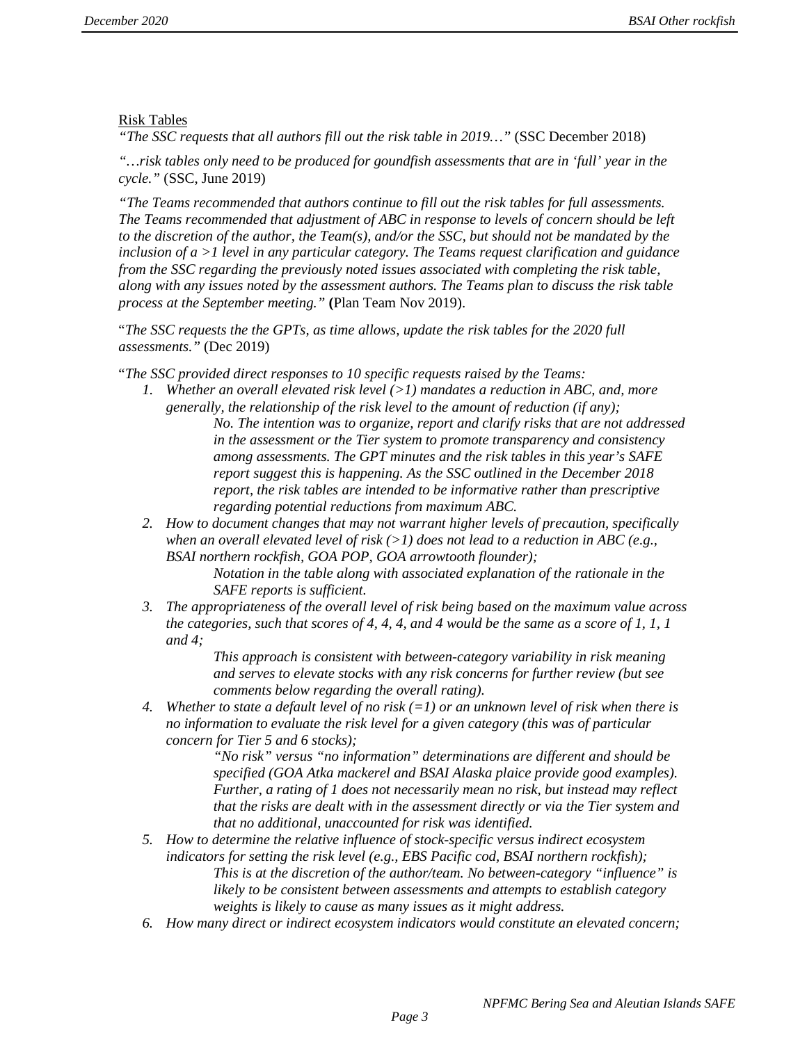### Risk Tables

*"The SSC requests that all authors fill out the risk table in 2019…"* (SSC December 2018)

*"…risk tables only need to be produced for goundfish assessments that are in 'full' year in the cycle."* (SSC, June 2019)

*"The Teams recommended that authors continue to fill out the risk tables for full assessments. The Teams recommended that adjustment of ABC in response to levels of concern should be left to the discretion of the author, the Team(s), and/or the SSC, but should not be mandated by the inclusion of a >1 level in any particular category. The Teams request clarification and guidance from the SSC regarding the previously noted issues associated with completing the risk table, along with any issues noted by the assessment authors. The Teams plan to discuss the risk table process at the September meeting."* **(**Plan Team Nov 2019).

"*The SSC requests the the GPTs, as time allows, update the risk tables for the 2020 full assessments."* (Dec 2019)

"*The SSC provided direct responses to 10 specific requests raised by the Teams:* 

- *1. Whether an overall elevated risk level (>1) mandates a reduction in ABC, and, more generally, the relationship of the risk level to the amount of reduction (if any); No. The intention was to organize, report and clarify risks that are not addressed in the assessment or the Tier system to promote transparency and consistency among assessments. The GPT minutes and the risk tables in this year's SAFE report suggest this is happening. As the SSC outlined in the December 2018 report, the risk tables are intended to be informative rather than prescriptive regarding potential reductions from maximum ABC.*
- *2. How to document changes that may not warrant higher levels of precaution, specifically when an overall elevated level of risk (>1) does not lead to a reduction in ABC (e.g., BSAI northern rockfish, GOA POP, GOA arrowtooth flounder);*

*Notation in the table along with associated explanation of the rationale in the SAFE reports is sufficient.* 

*3. The appropriateness of the overall level of risk being based on the maximum value across the categories, such that scores of 4, 4, 4, and 4 would be the same as a score of 1, 1, 1 and 4;* 

> *This approach is consistent with between-category variability in risk meaning and serves to elevate stocks with any risk concerns for further review (but see comments below regarding the overall rating).*

*4. Whether to state a default level of no risk (=1) or an unknown level of risk when there is no information to evaluate the risk level for a given category (this was of particular concern for Tier 5 and 6 stocks);* 

*"No risk" versus "no information" determinations are different and should be specified (GOA Atka mackerel and BSAI Alaska plaice provide good examples). Further, a rating of 1 does not necessarily mean no risk, but instead may reflect that the risks are dealt with in the assessment directly or via the Tier system and that no additional, unaccounted for risk was identified.* 

- *5. How to determine the relative influence of stock-specific versus indirect ecosystem indicators for setting the risk level (e.g., EBS Pacific cod, BSAI northern rockfish); This is at the discretion of the author/team. No between-category "influence" is likely to be consistent between assessments and attempts to establish category weights is likely to cause as many issues as it might address.*
- *6. How many direct or indirect ecosystem indicators would constitute an elevated concern;*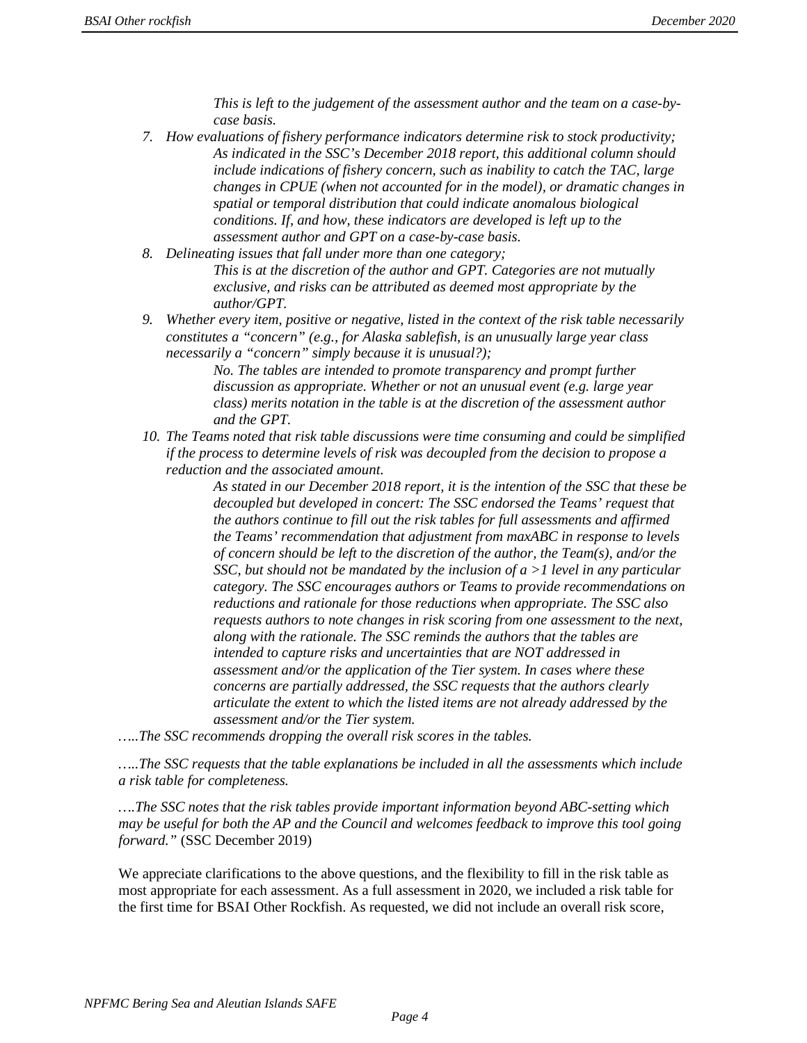*This is left to the judgement of the assessment author and the team on a case-bycase basis.* 

- *7. How evaluations of fishery performance indicators determine risk to stock productivity; As indicated in the SSC's December 2018 report, this additional column should include indications of fishery concern, such as inability to catch the TAC, large changes in CPUE (when not accounted for in the model), or dramatic changes in spatial or temporal distribution that could indicate anomalous biological conditions. If, and how, these indicators are developed is left up to the assessment author and GPT on a case-by-case basis.*
- *8. Delineating issues that fall under more than one category; This is at the discretion of the author and GPT. Categories are not mutually exclusive, and risks can be attributed as deemed most appropriate by the author/GPT.*
- *9. Whether every item, positive or negative, listed in the context of the risk table necessarily constitutes a "concern" (e.g., for Alaska sablefish, is an unusually large year class necessarily a "concern" simply because it is unusual?);*

*No. The tables are intended to promote transparency and prompt further discussion as appropriate. Whether or not an unusual event (e.g. large year class) merits notation in the table is at the discretion of the assessment author and the GPT.* 

*10. The Teams noted that risk table discussions were time consuming and could be simplified if the process to determine levels of risk was decoupled from the decision to propose a reduction and the associated amount.* 

> *As stated in our December 2018 report, it is the intention of the SSC that these be decoupled but developed in concert: The SSC endorsed the Teams' request that the authors continue to fill out the risk tables for full assessments and affirmed the Teams' recommendation that adjustment from maxABC in response to levels of concern should be left to the discretion of the author, the Team(s), and/or the SSC, but should not be mandated by the inclusion of a >1 level in any particular category. The SSC encourages authors or Teams to provide recommendations on reductions and rationale for those reductions when appropriate. The SSC also requests authors to note changes in risk scoring from one assessment to the next, along with the rationale. The SSC reminds the authors that the tables are intended to capture risks and uncertainties that are NOT addressed in assessment and/or the application of the Tier system. In cases where these concerns are partially addressed, the SSC requests that the authors clearly articulate the extent to which the listed items are not already addressed by the assessment and/or the Tier system.*

*…..The SSC recommends dropping the overall risk scores in the tables.*

*…..The SSC requests that the table explanations be included in all the assessments which include a risk table for completeness.*

*….The SSC notes that the risk tables provide important information beyond ABC-setting which may be useful for both the AP and the Council and welcomes feedback to improve this tool going forward."* (SSC December 2019)

We appreciate clarifications to the above questions, and the flexibility to fill in the risk table as most appropriate for each assessment. As a full assessment in 2020, we included a risk table for the first time for BSAI Other Rockfish. As requested, we did not include an overall risk score,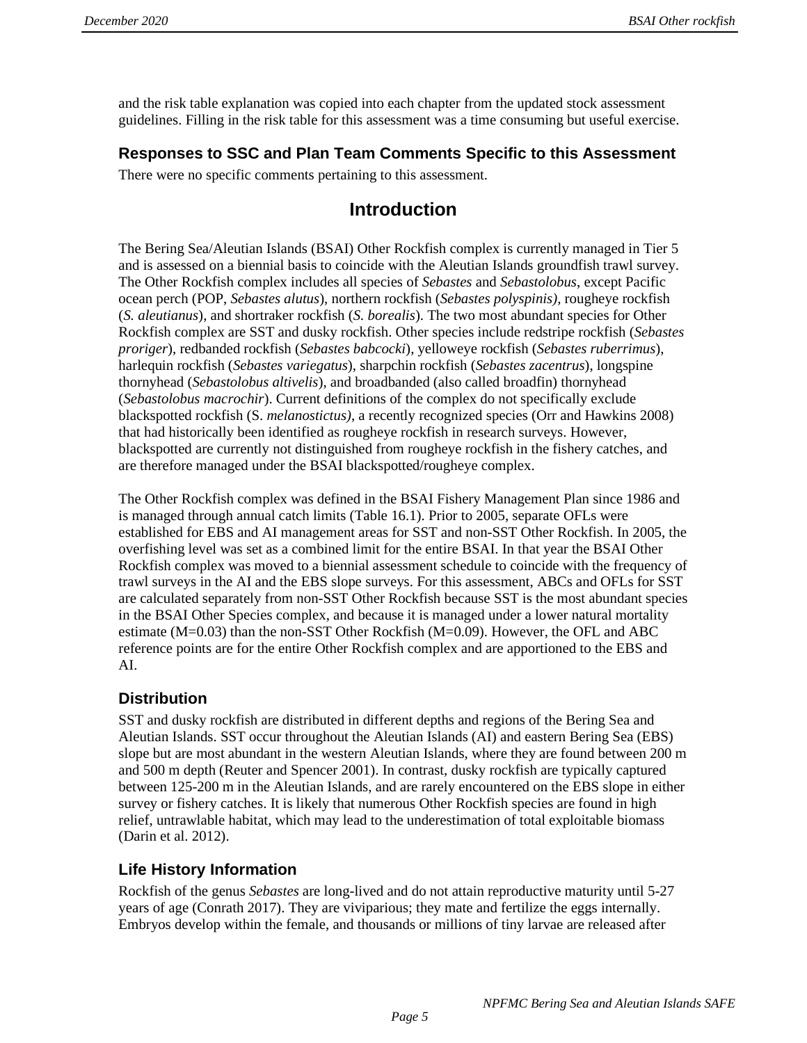and the risk table explanation was copied into each chapter from the updated stock assessment guidelines. Filling in the risk table for this assessment was a time consuming but useful exercise.

## **Responses to SSC and Plan Team Comments Specific to this Assessment**

There were no specific comments pertaining to this assessment.

# **Introduction**

The Bering Sea/Aleutian Islands (BSAI) Other Rockfish complex is currently managed in Tier 5 and is assessed on a biennial basis to coincide with the Aleutian Islands groundfish trawl survey. The Other Rockfish complex includes all species of *Sebastes* and *Sebastolobus*, except Pacific ocean perch (POP, *Sebastes alutus*), northern rockfish (*Sebastes polyspinis),* rougheye rockfish (*S. aleutianus*), and shortraker rockfish (*S. borealis*). The two most abundant species for Other Rockfish complex are SST and dusky rockfish. Other species include redstripe rockfish (*Sebastes proriger*), redbanded rockfish (*Sebastes babcocki*), yelloweye rockfish (*Sebastes ruberrimus*), harlequin rockfish (*Sebastes variegatus*), sharpchin rockfish (*Sebastes zacentrus*), longspine thornyhead (*Sebastolobus altivelis*), and broadbanded (also called broadfin) thornyhead (*Sebastolobus macrochir*). Current definitions of the complex do not specifically exclude blackspotted rockfish (S. *melanostictus)*, a recently recognized species (Orr and Hawkins 2008) that had historically been identified as rougheye rockfish in research surveys. However, blackspotted are currently not distinguished from rougheye rockfish in the fishery catches, and are therefore managed under the BSAI blackspotted/rougheye complex.

The Other Rockfish complex was defined in the BSAI Fishery Management Plan since 1986 and is managed through annual catch limits (Table 16.1). Prior to 2005, separate OFLs were established for EBS and AI management areas for SST and non-SST Other Rockfish. In 2005, the overfishing level was set as a combined limit for the entire BSAI. In that year the BSAI Other Rockfish complex was moved to a biennial assessment schedule to coincide with the frequency of trawl surveys in the AI and the EBS slope surveys. For this assessment, ABCs and OFLs for SST are calculated separately from non-SST Other Rockfish because SST is the most abundant species in the BSAI Other Species complex, and because it is managed under a lower natural mortality estimate (M=0.03) than the non-SST Other Rockfish (M=0.09). However, the OFL and ABC reference points are for the entire Other Rockfish complex and are apportioned to the EBS and AI.

# **Distribution**

SST and dusky rockfish are distributed in different depths and regions of the Bering Sea and Aleutian Islands. SST occur throughout the Aleutian Islands (AI) and eastern Bering Sea (EBS) slope but are most abundant in the western Aleutian Islands, where they are found between 200 m and 500 m depth (Reuter and Spencer 2001). In contrast, dusky rockfish are typically captured between 125-200 m in the Aleutian Islands, and are rarely encountered on the EBS slope in either survey or fishery catches. It is likely that numerous Other Rockfish species are found in high relief, untrawlable habitat, which may lead to the underestimation of total exploitable biomass (Darin et al. 2012).

# **Life History Information**

Rockfish of the genus *Sebastes* are long-lived and do not attain reproductive maturity until 5-27 years of age (Conrath 2017). They are viviparious; they mate and fertilize the eggs internally. Embryos develop within the female, and thousands or millions of tiny larvae are released after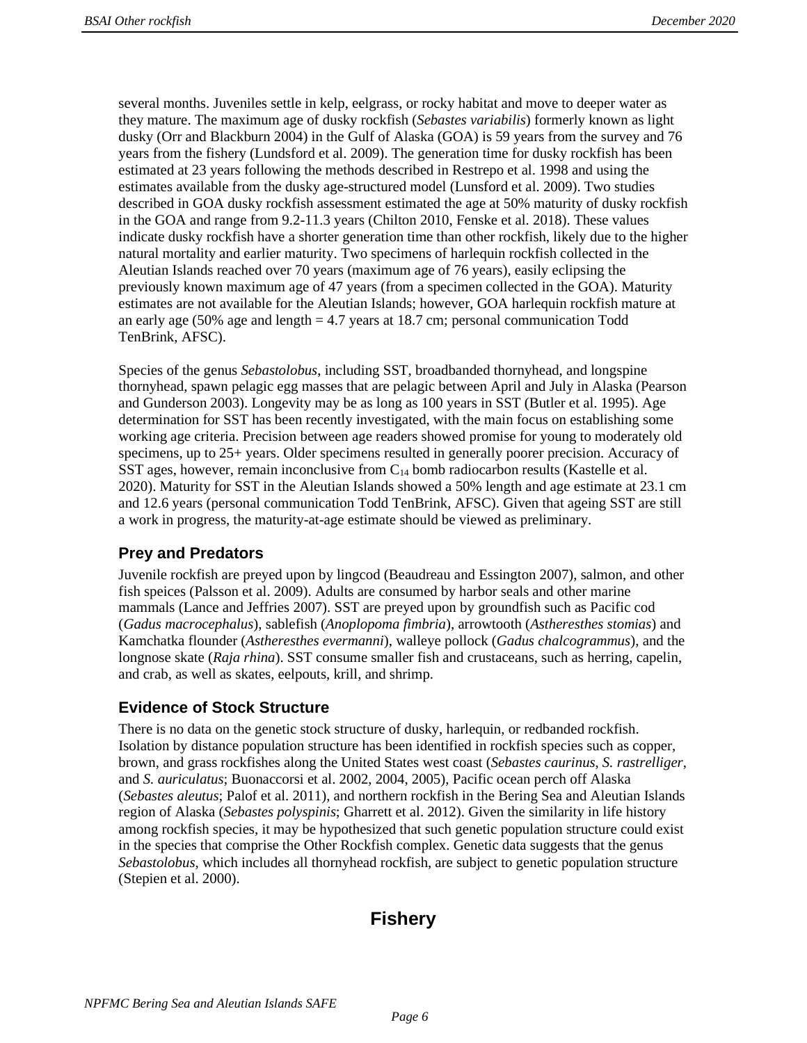several months. Juveniles settle in kelp, eelgrass, or rocky habitat and move to deeper water as they mature. The maximum age of dusky rockfish (*Sebastes variabilis*) formerly known as light dusky (Orr and Blackburn 2004) in the Gulf of Alaska (GOA) is 59 years from the survey and 76 years from the fishery (Lundsford et al. 2009). The generation time for dusky rockfish has been estimated at 23 years following the methods described in Restrepo et al. 1998 and using the estimates available from the dusky age-structured model (Lunsford et al. 2009). Two studies described in GOA dusky rockfish assessment estimated the age at 50% maturity of dusky rockfish in the GOA and range from 9.2-11.3 years (Chilton 2010, Fenske et al. 2018). These values indicate dusky rockfish have a shorter generation time than other rockfish, likely due to the higher natural mortality and earlier maturity. Two specimens of harlequin rockfish collected in the Aleutian Islands reached over 70 years (maximum age of 76 years), easily eclipsing the previously known maximum age of 47 years (from a specimen collected in the GOA). Maturity estimates are not available for the Aleutian Islands; however, GOA harlequin rockfish mature at an early age (50% age and length = 4.7 years at 18.7 cm; personal communication Todd TenBrink, AFSC).

Species of the genus *Sebastolobus*, including SST, broadbanded thornyhead, and longspine thornyhead, spawn pelagic egg masses that are pelagic between April and July in Alaska (Pearson and Gunderson 2003). Longevity may be as long as 100 years in SST (Butler et al. 1995). Age determination for SST has been recently investigated, with the main focus on establishing some working age criteria. Precision between age readers showed promise for young to moderately old specimens, up to 25+ years. Older specimens resulted in generally poorer precision. Accuracy of SST ages, however, remain inconclusive from  $C_{14}$  bomb radiocarbon results (Kastelle et al. 2020). Maturity for SST in the Aleutian Islands showed a 50% length and age estimate at 23.1 cm and 12.6 years (personal communication Todd TenBrink, AFSC). Given that ageing SST are still a work in progress, the maturity-at-age estimate should be viewed as preliminary.

# **Prey and Predators**

Juvenile rockfish are preyed upon by lingcod (Beaudreau and Essington 2007), salmon, and other fish speices (Palsson et al. 2009). Adults are consumed by harbor seals and other marine mammals (Lance and Jeffries 2007). SST are preyed upon by groundfish such as Pacific cod (*Gadus macrocephalus*), sablefish (*Anoplopoma fimbria*), arrowtooth (*Astheresthes stomias*) and Kamchatka flounder (*Astheresthes evermanni*), walleye pollock (*Gadus chalcogrammus*), and the longnose skate (*Raja rhina*). SST consume smaller fish and crustaceans, such as herring, capelin, and crab, as well as skates, eelpouts, krill, and shrimp.

## **Evidence of Stock Structure**

There is no data on the genetic stock structure of dusky, harlequin, or redbanded rockfish. Isolation by distance population structure has been identified in rockfish species such as copper, brown, and grass rockfishes along the United States west coast (*Sebastes caurinus*, *S. rastrelliger*, and *S. auriculatus*; Buonaccorsi et al. 2002, 2004, 2005), Pacific ocean perch off Alaska (*Sebastes aleutus*; Palof et al. 2011), and northern rockfish in the Bering Sea and Aleutian Islands region of Alaska (*Sebastes polyspinis*; Gharrett et al. 2012). Given the similarity in life history among rockfish species, it may be hypothesized that such genetic population structure could exist in the species that comprise the Other Rockfish complex. Genetic data suggests that the genus *Sebastolobus*, which includes all thornyhead rockfish, are subject to genetic population structure (Stepien et al. 2000).

# **Fishery**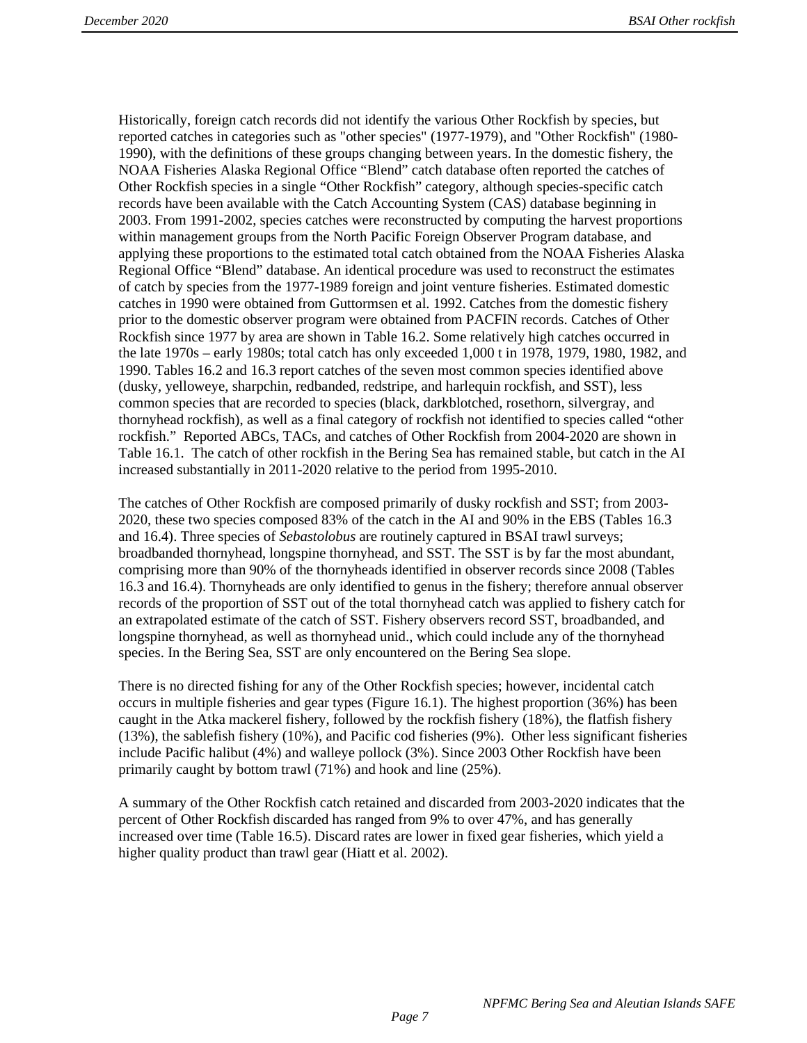Historically, foreign catch records did not identify the various Other Rockfish by species, but reported catches in categories such as "other species" (1977-1979), and "Other Rockfish" (1980- 1990), with the definitions of these groups changing between years. In the domestic fishery, the NOAA Fisheries Alaska Regional Office "Blend" catch database often reported the catches of Other Rockfish species in a single "Other Rockfish" category, although species-specific catch records have been available with the Catch Accounting System (CAS) database beginning in 2003. From 1991-2002, species catches were reconstructed by computing the harvest proportions within management groups from the North Pacific Foreign Observer Program database, and applying these proportions to the estimated total catch obtained from the NOAA Fisheries Alaska Regional Office "Blend" database. An identical procedure was used to reconstruct the estimates of catch by species from the 1977-1989 foreign and joint venture fisheries. Estimated domestic catches in 1990 were obtained from Guttormsen et al. 1992. Catches from the domestic fishery prior to the domestic observer program were obtained from PACFIN records. Catches of Other Rockfish since 1977 by area are shown in Table 16.2. Some relatively high catches occurred in the late 1970s – early 1980s; total catch has only exceeded 1,000 t in 1978, 1979, 1980, 1982, and 1990. Tables 16.2 and 16.3 report catches of the seven most common species identified above (dusky, yelloweye, sharpchin, redbanded, redstripe, and harlequin rockfish, and SST), less common species that are recorded to species (black, darkblotched, rosethorn, silvergray, and thornyhead rockfish), as well as a final category of rockfish not identified to species called "other rockfish." Reported ABCs, TACs, and catches of Other Rockfish from 2004-2020 are shown in Table 16.1. The catch of other rockfish in the Bering Sea has remained stable, but catch in the AI increased substantially in 2011-2020 relative to the period from 1995-2010.

The catches of Other Rockfish are composed primarily of dusky rockfish and SST; from 2003- 2020, these two species composed 83% of the catch in the AI and 90% in the EBS (Tables 16.3 and 16.4). Three species of *Sebastolobus* are routinely captured in BSAI trawl surveys; broadbanded thornyhead, longspine thornyhead, and SST. The SST is by far the most abundant, comprising more than 90% of the thornyheads identified in observer records since 2008 (Tables 16.3 and 16.4). Thornyheads are only identified to genus in the fishery; therefore annual observer records of the proportion of SST out of the total thornyhead catch was applied to fishery catch for an extrapolated estimate of the catch of SST. Fishery observers record SST, broadbanded, and longspine thornyhead, as well as thornyhead unid., which could include any of the thornyhead species. In the Bering Sea, SST are only encountered on the Bering Sea slope.

There is no directed fishing for any of the Other Rockfish species; however, incidental catch occurs in multiple fisheries and gear types (Figure 16.1). The highest proportion (36%) has been caught in the Atka mackerel fishery, followed by the rockfish fishery (18%), the flatfish fishery (13%), the sablefish fishery (10%), and Pacific cod fisheries (9%). Other less significant fisheries include Pacific halibut (4%) and walleye pollock (3%). Since 2003 Other Rockfish have been primarily caught by bottom trawl (71%) and hook and line (25%).

A summary of the Other Rockfish catch retained and discarded from 2003-2020 indicates that the percent of Other Rockfish discarded has ranged from 9% to over 47%, and has generally increased over time (Table 16.5). Discard rates are lower in fixed gear fisheries, which yield a higher quality product than trawl gear (Hiatt et al. 2002).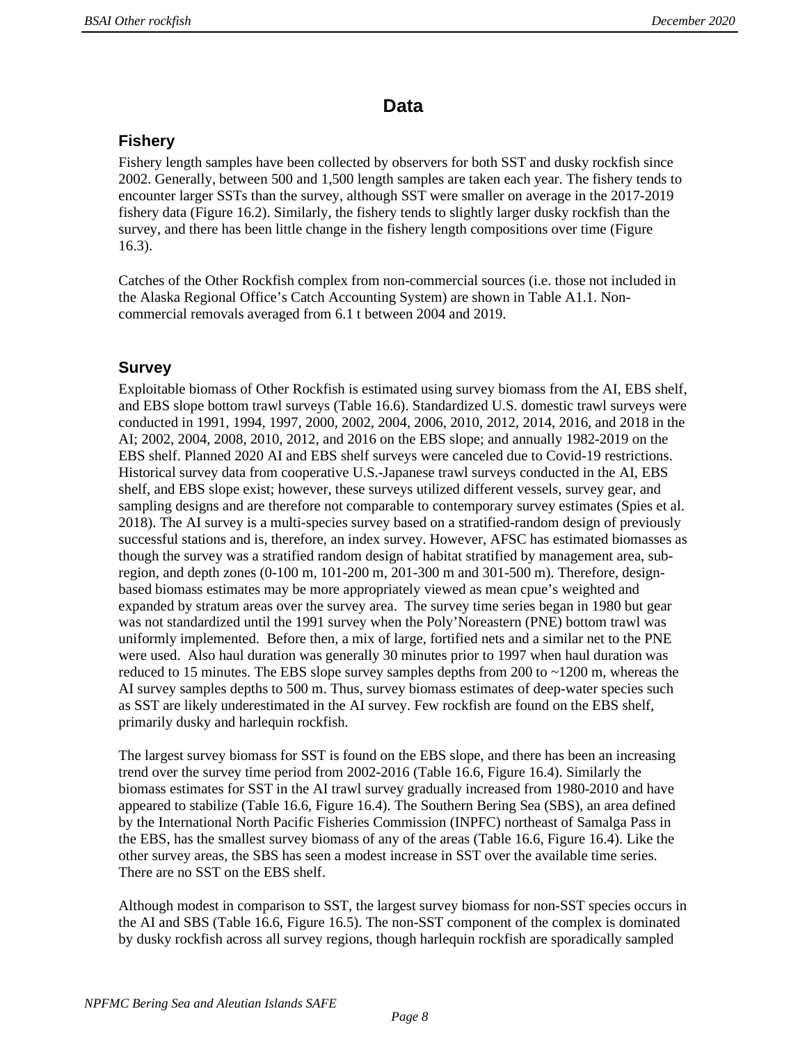# **Data**

## **Fishery**

Fishery length samples have been collected by observers for both SST and dusky rockfish since 2002. Generally, between 500 and 1,500 length samples are taken each year. The fishery tends to encounter larger SSTs than the survey, although SST were smaller on average in the 2017-2019 fishery data (Figure 16.2). Similarly, the fishery tends to slightly larger dusky rockfish than the survey, and there has been little change in the fishery length compositions over time (Figure 16.3).

Catches of the Other Rockfish complex from non-commercial sources (i.e. those not included in the Alaska Regional Office's Catch Accounting System) are shown in Table A1.1. Noncommercial removals averaged from 6.1 t between 2004 and 2019.

## **Survey**

Exploitable biomass of Other Rockfish is estimated using survey biomass from the AI, EBS shelf, and EBS slope bottom trawl surveys (Table 16.6). Standardized U.S. domestic trawl surveys were conducted in 1991, 1994, 1997, 2000, 2002, 2004, 2006, 2010, 2012, 2014, 2016, and 2018 in the AI; 2002, 2004, 2008, 2010, 2012, and 2016 on the EBS slope; and annually 1982-2019 on the EBS shelf. Planned 2020 AI and EBS shelf surveys were canceled due to Covid-19 restrictions. Historical survey data from cooperative U.S.-Japanese trawl surveys conducted in the AI, EBS shelf, and EBS slope exist; however, these surveys utilized different vessels, survey gear, and sampling designs and are therefore not comparable to contemporary survey estimates (Spies et al. 2018). The AI survey is a multi-species survey based on a stratified-random design of previously successful stations and is, therefore, an index survey. However, AFSC has estimated biomasses as though the survey was a stratified random design of habitat stratified by management area, subregion, and depth zones (0-100 m, 101-200 m, 201-300 m and 301-500 m). Therefore, designbased biomass estimates may be more appropriately viewed as mean cpue's weighted and expanded by stratum areas over the survey area. The survey time series began in 1980 but gear was not standardized until the 1991 survey when the Poly'Noreastern (PNE) bottom trawl was uniformly implemented. Before then, a mix of large, fortified nets and a similar net to the PNE were used. Also haul duration was generally 30 minutes prior to 1997 when haul duration was reduced to 15 minutes. The EBS slope survey samples depths from 200 to ~1200 m, whereas the AI survey samples depths to 500 m. Thus, survey biomass estimates of deep-water species such as SST are likely underestimated in the AI survey. Few rockfish are found on the EBS shelf, primarily dusky and harlequin rockfish.

The largest survey biomass for SST is found on the EBS slope, and there has been an increasing trend over the survey time period from 2002-2016 (Table 16.6, Figure 16.4). Similarly the biomass estimates for SST in the AI trawl survey gradually increased from 1980-2010 and have appeared to stabilize (Table 16.6, Figure 16.4). The Southern Bering Sea (SBS), an area defined by the International North Pacific Fisheries Commission (INPFC) northeast of Samalga Pass in the EBS, has the smallest survey biomass of any of the areas (Table 16.6, Figure 16.4). Like the other survey areas, the SBS has seen a modest increase in SST over the available time series. There are no SST on the EBS shelf.

Although modest in comparison to SST, the largest survey biomass for non-SST species occurs in the AI and SBS (Table 16.6, Figure 16.5). The non-SST component of the complex is dominated by dusky rockfish across all survey regions, though harlequin rockfish are sporadically sampled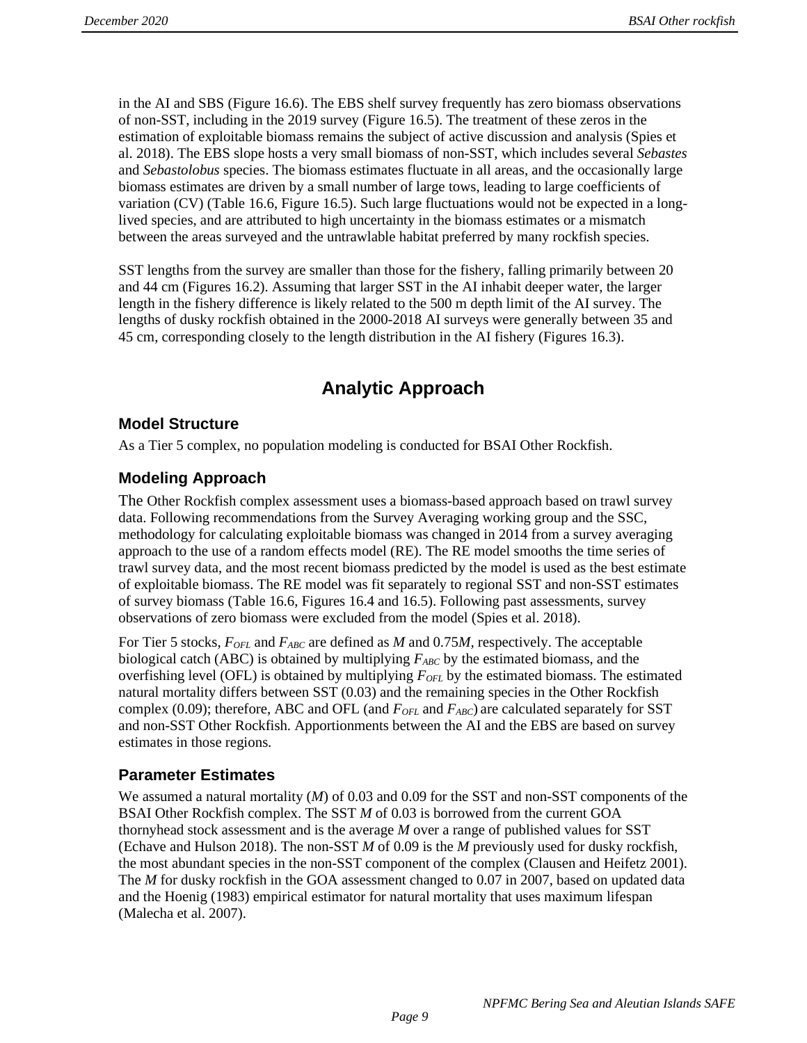in the AI and SBS (Figure 16.6). The EBS shelf survey frequently has zero biomass observations of non-SST, including in the 2019 survey (Figure 16.5). The treatment of these zeros in the estimation of exploitable biomass remains the subject of active discussion and analysis (Spies et al. 2018). The EBS slope hosts a very small biomass of non-SST, which includes several *Sebastes* and *Sebastolobus* species. The biomass estimates fluctuate in all areas, and the occasionally large biomass estimates are driven by a small number of large tows, leading to large coefficients of variation (CV) (Table 16.6, Figure 16.5). Such large fluctuations would not be expected in a longlived species, and are attributed to high uncertainty in the biomass estimates or a mismatch between the areas surveyed and the untrawlable habitat preferred by many rockfish species.

SST lengths from the survey are smaller than those for the fishery, falling primarily between 20 and 44 cm (Figures 16.2). Assuming that larger SST in the AI inhabit deeper water, the larger length in the fishery difference is likely related to the 500 m depth limit of the AI survey. The lengths of dusky rockfish obtained in the 2000-2018 AI surveys were generally between 35 and 45 cm, corresponding closely to the length distribution in the AI fishery (Figures 16.3).

# **Analytic Approach**

# **Model Structure**

As a Tier 5 complex, no population modeling is conducted for BSAI Other Rockfish.

# **Modeling Approach**

The Other Rockfish complex assessment uses a biomass-based approach based on trawl survey data. Following recommendations from the Survey Averaging working group and the SSC, methodology for calculating exploitable biomass was changed in 2014 from a survey averaging approach to the use of a random effects model (RE). The RE model smooths the time series of trawl survey data, and the most recent biomass predicted by the model is used as the best estimate of exploitable biomass. The RE model was fit separately to regional SST and non-SST estimates of survey biomass (Table 16.6, Figures 16.4 and 16.5). Following past assessments, survey observations of zero biomass were excluded from the model (Spies et al. 2018).

For Tier 5 stocks, *FOFL* and *FABC* are defined as *M* and 0.75*M,* respectively. The acceptable biological catch (ABC) is obtained by multiplying  $F_{ABC}$  by the estimated biomass, and the overfishing level (OFL) is obtained by multiplying *FOFL* by the estimated biomass. The estimated natural mortality differs between SST (0.03) and the remaining species in the Other Rockfish complex (0.09); therefore, ABC and OFL (and  $F_{OFL}$  and  $F_{ABC}$ ) are calculated separately for SST and non-SST Other Rockfish. Apportionments between the AI and the EBS are based on survey estimates in those regions.

## **Parameter Estimates**

We assumed a natural mortality (*M*) of 0.03 and 0.09 for the SST and non-SST components of the BSAI Other Rockfish complex. The SST *M* of 0.03 is borrowed from the current GOA thornyhead stock assessment and is the average *M* over a range of published values for SST (Echave and Hulson 2018). The non-SST *M* of 0.09 is the *M* previously used for dusky rockfish, the most abundant species in the non-SST component of the complex (Clausen and Heifetz 2001). The *M* for dusky rockfish in the GOA assessment changed to 0.07 in 2007, based on updated data and the Hoenig (1983) empirical estimator for natural mortality that uses maximum lifespan (Malecha et al. 2007).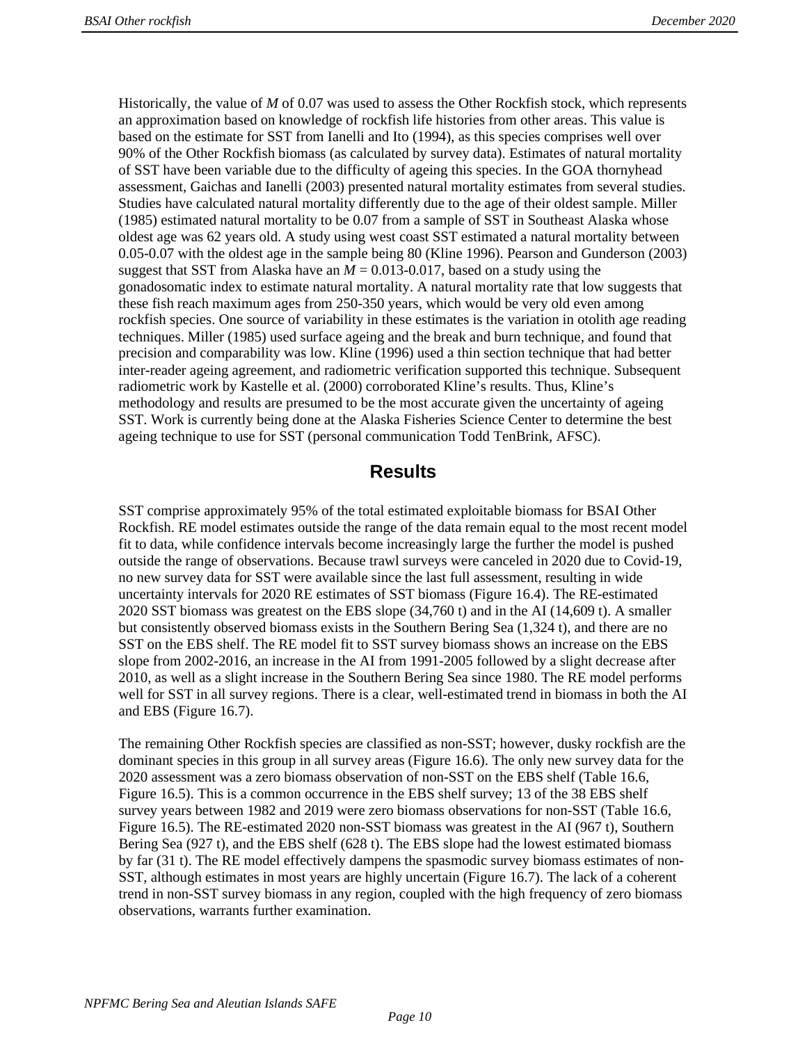Historically, the value of *M* of 0.07 was used to assess the Other Rockfish stock, which represents an approximation based on knowledge of rockfish life histories from other areas. This value is based on the estimate for SST from Ianelli and Ito (1994), as this species comprises well over 90% of the Other Rockfish biomass (as calculated by survey data). Estimates of natural mortality of SST have been variable due to the difficulty of ageing this species. In the GOA thornyhead assessment, Gaichas and Ianelli (2003) presented natural mortality estimates from several studies. Studies have calculated natural mortality differently due to the age of their oldest sample. Miller (1985) estimated natural mortality to be 0.07 from a sample of SST in Southeast Alaska whose oldest age was 62 years old. A study using west coast SST estimated a natural mortality between 0.05-0.07 with the oldest age in the sample being 80 (Kline 1996). Pearson and Gunderson (2003) suggest that SST from Alaska have an  $M = 0.013 - 0.017$ , based on a study using the gonadosomatic index to estimate natural mortality. A natural mortality rate that low suggests that these fish reach maximum ages from 250-350 years, which would be very old even among rockfish species. One source of variability in these estimates is the variation in otolith age reading techniques. Miller (1985) used surface ageing and the break and burn technique, and found that precision and comparability was low. Kline (1996) used a thin section technique that had better inter-reader ageing agreement, and radiometric verification supported this technique. Subsequent radiometric work by Kastelle et al. (2000) corroborated Kline's results. Thus, Kline's methodology and results are presumed to be the most accurate given the uncertainty of ageing SST. Work is currently being done at the Alaska Fisheries Science Center to determine the best ageing technique to use for SST (personal communication Todd TenBrink, AFSC).

# **Results**

SST comprise approximately 95% of the total estimated exploitable biomass for BSAI Other Rockfish. RE model estimates outside the range of the data remain equal to the most recent model fit to data, while confidence intervals become increasingly large the further the model is pushed outside the range of observations. Because trawl surveys were canceled in 2020 due to Covid-19, no new survey data for SST were available since the last full assessment, resulting in wide uncertainty intervals for 2020 RE estimates of SST biomass (Figure 16.4). The RE-estimated 2020 SST biomass was greatest on the EBS slope (34,760 t) and in the AI (14,609 t). A smaller but consistently observed biomass exists in the Southern Bering Sea (1,324 t), and there are no SST on the EBS shelf. The RE model fit to SST survey biomass shows an increase on the EBS slope from 2002-2016, an increase in the AI from 1991-2005 followed by a slight decrease after 2010, as well as a slight increase in the Southern Bering Sea since 1980. The RE model performs well for SST in all survey regions. There is a clear, well-estimated trend in biomass in both the AI and EBS (Figure 16.7).

The remaining Other Rockfish species are classified as non-SST; however, dusky rockfish are the dominant species in this group in all survey areas (Figure 16.6). The only new survey data for the 2020 assessment was a zero biomass observation of non-SST on the EBS shelf (Table 16.6, Figure 16.5). This is a common occurrence in the EBS shelf survey; 13 of the 38 EBS shelf survey years between 1982 and 2019 were zero biomass observations for non-SST (Table 16.6, Figure 16.5). The RE-estimated 2020 non-SST biomass was greatest in the AI (967 t), Southern Bering Sea (927 t), and the EBS shelf (628 t). The EBS slope had the lowest estimated biomass by far (31 t). The RE model effectively dampens the spasmodic survey biomass estimates of non-SST, although estimates in most years are highly uncertain (Figure 16.7). The lack of a coherent trend in non-SST survey biomass in any region, coupled with the high frequency of zero biomass observations, warrants further examination.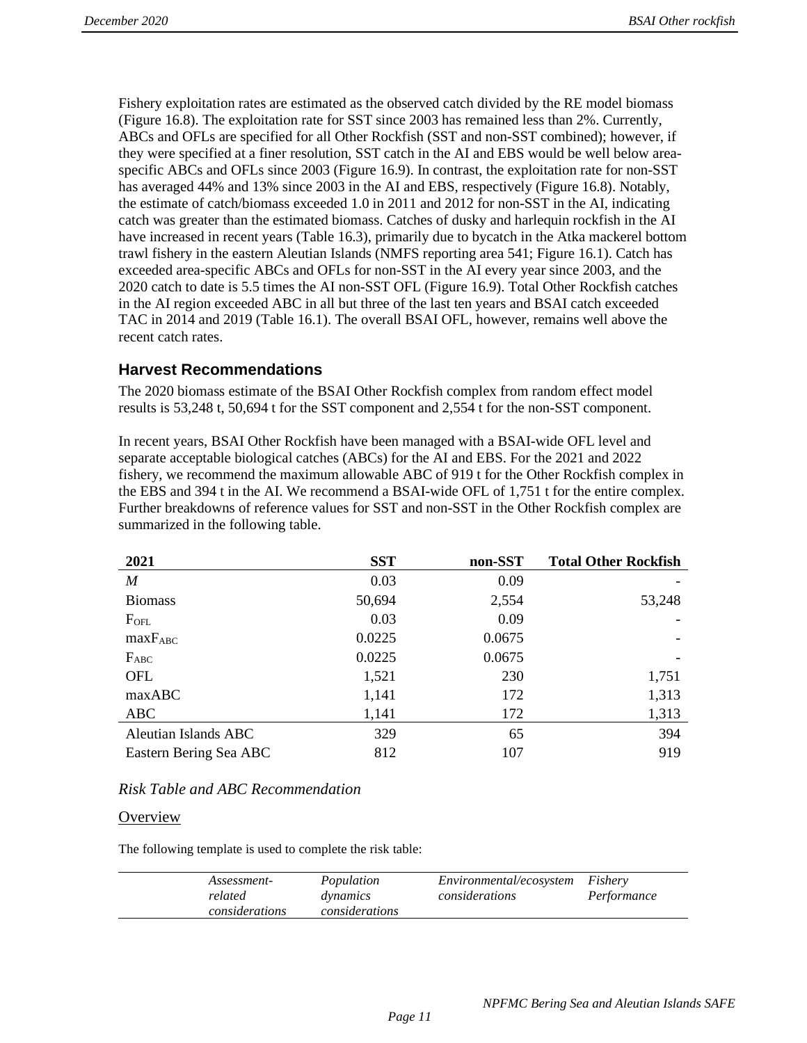Fishery exploitation rates are estimated as the observed catch divided by the RE model biomass (Figure 16.8). The exploitation rate for SST since 2003 has remained less than 2%. Currently, ABCs and OFLs are specified for all Other Rockfish (SST and non-SST combined); however, if they were specified at a finer resolution, SST catch in the AI and EBS would be well below areaspecific ABCs and OFLs since 2003 (Figure 16.9). In contrast, the exploitation rate for non-SST has averaged 44% and 13% since 2003 in the AI and EBS, respectively (Figure 16.8). Notably, the estimate of catch/biomass exceeded 1.0 in 2011 and 2012 for non-SST in the AI, indicating catch was greater than the estimated biomass. Catches of dusky and harlequin rockfish in the AI have increased in recent years (Table 16.3), primarily due to bycatch in the Atka mackerel bottom trawl fishery in the eastern Aleutian Islands (NMFS reporting area 541; Figure 16.1). Catch has exceeded area-specific ABCs and OFLs for non-SST in the AI every year since 2003, and the 2020 catch to date is 5.5 times the AI non-SST OFL (Figure 16.9). Total Other Rockfish catches in the AI region exceeded ABC in all but three of the last ten years and BSAI catch exceeded TAC in 2014 and 2019 (Table 16.1). The overall BSAI OFL, however, remains well above the recent catch rates.

### **Harvest Recommendations**

The 2020 biomass estimate of the BSAI Other Rockfish complex from random effect model results is 53,248 t, 50,694 t for the SST component and 2,554 t for the non-SST component.

In recent years, BSAI Other Rockfish have been managed with a BSAI-wide OFL level and separate acceptable biological catches (ABCs) for the AI and EBS. For the 2021 and 2022 fishery, we recommend the maximum allowable ABC of 919 t for the Other Rockfish complex in the EBS and 394 t in the AI. We recommend a BSAI-wide OFL of 1,751 t for the entire complex. Further breakdowns of reference values for SST and non-SST in the Other Rockfish complex are summarized in the following table.

| 2021                   | <b>SST</b> | non-SST | <b>Total Other Rockfish</b> |
|------------------------|------------|---------|-----------------------------|
| M                      | 0.03       | 0.09    |                             |
| <b>Biomass</b>         | 50,694     | 2,554   | 53,248                      |
| $F_{\text{OFL}}$       | 0.03       | 0.09    |                             |
| $maxF_{ABC}$           | 0.0225     | 0.0675  |                             |
| $F_{ABC}$              | 0.0225     | 0.0675  |                             |
| OFL                    | 1,521      | 230     | 1,751                       |
| maxABC                 | 1,141      | 172     | 1,313                       |
| ABC                    | 1,141      | 172     | 1,313                       |
| Aleutian Islands ABC   | 329        | 65      | 394                         |
| Eastern Bering Sea ABC | 812        | 107     | 919                         |

### *Risk Table and ABC Recommendation*

### **Overview**

The following template is used to complete the risk table:

| Population<br>Assessment-<br>considerations<br>related<br>dynamics<br>considerations<br>considerations | <i>Environmental/ecosystem</i><br>Fishery<br>Performance |
|--------------------------------------------------------------------------------------------------------|----------------------------------------------------------|
|--------------------------------------------------------------------------------------------------------|----------------------------------------------------------|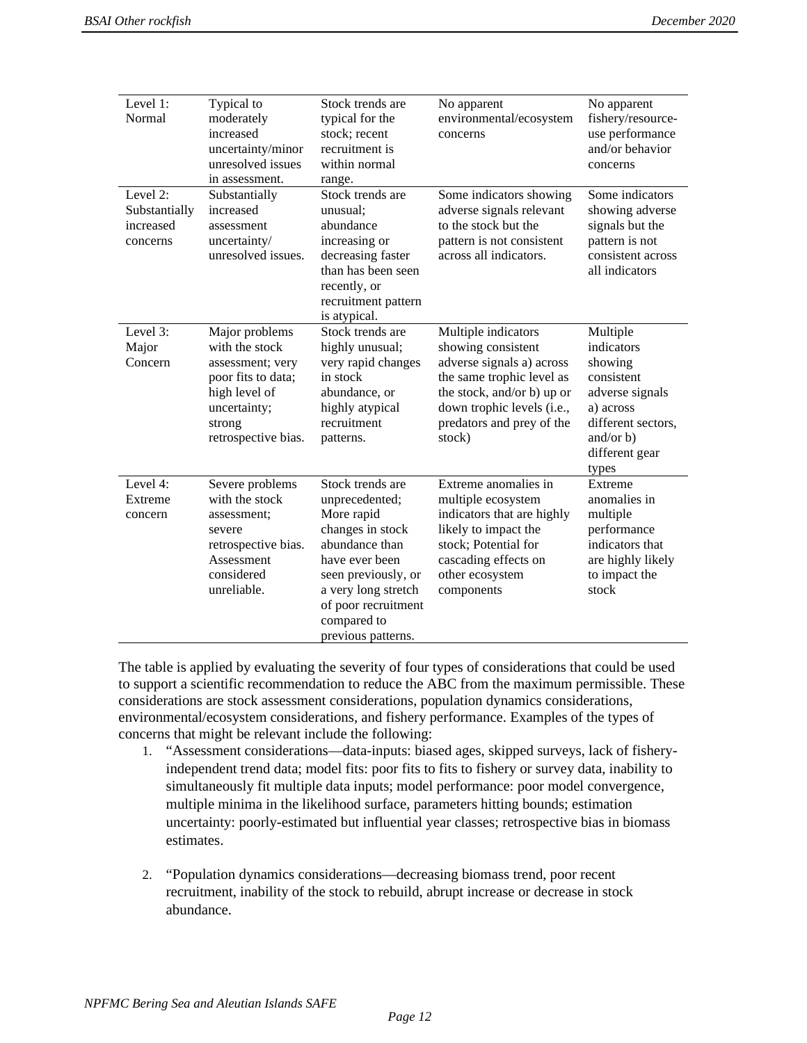| Level 1:<br>Normal                                 | Typical to<br>moderately<br>increased<br>uncertainty/minor<br>unresolved issues<br>in assessment.                                            | Stock trends are<br>typical for the<br>stock; recent<br>recruitment is<br>within normal<br>range.                                                                                                                  | No apparent<br>environmental/ecosystem<br>concerns                                                                                                                                                     | No apparent<br>fishery/resource-<br>use performance<br>and/or behavior<br>concerns                                                              |
|----------------------------------------------------|----------------------------------------------------------------------------------------------------------------------------------------------|--------------------------------------------------------------------------------------------------------------------------------------------------------------------------------------------------------------------|--------------------------------------------------------------------------------------------------------------------------------------------------------------------------------------------------------|-------------------------------------------------------------------------------------------------------------------------------------------------|
| Level 2:<br>Substantially<br>increased<br>concerns | Substantially<br>increased<br>assessment<br>uncertainty/<br>unresolved issues.                                                               | Stock trends are<br>unusual;<br>abundance<br>increasing or<br>decreasing faster<br>than has been seen<br>recently, or<br>recruitment pattern<br>is atypical.                                                       | Some indicators showing<br>adverse signals relevant<br>to the stock but the<br>pattern is not consistent<br>across all indicators.                                                                     | Some indicators<br>showing adverse<br>signals but the<br>pattern is not<br>consistent across<br>all indicators                                  |
| Level 3:<br>Major<br>Concern                       | Major problems<br>with the stock<br>assessment; very<br>poor fits to data;<br>high level of<br>uncertainty;<br>strong<br>retrospective bias. | Stock trends are<br>highly unusual;<br>very rapid changes<br>in stock<br>abundance, or<br>highly atypical<br>recruitment<br>patterns.                                                                              | Multiple indicators<br>showing consistent<br>adverse signals a) across<br>the same trophic level as<br>the stock, and/or b) up or<br>down trophic levels (i.e.,<br>predators and prey of the<br>stock) | Multiple<br>indicators<br>showing<br>consistent<br>adverse signals<br>a) across<br>different sectors,<br>and/or $b)$<br>different gear<br>types |
| Level 4:<br>Extreme<br>concern                     | Severe problems<br>with the stock<br>assessment;<br>severe<br>retrospective bias.<br>Assessment<br>considered<br>unreliable.                 | Stock trends are<br>unprecedented;<br>More rapid<br>changes in stock<br>abundance than<br>have ever been<br>seen previously, or<br>a very long stretch<br>of poor recruitment<br>compared to<br>previous patterns. | Extreme anomalies in<br>multiple ecosystem<br>indicators that are highly<br>likely to impact the<br>stock; Potential for<br>cascading effects on<br>other ecosystem<br>components                      | Extreme<br>anomalies in<br>multiple<br>performance<br>indicators that<br>are highly likely<br>to impact the<br>stock                            |

The table is applied by evaluating the severity of four types of considerations that could be used to support a scientific recommendation to reduce the ABC from the maximum permissible. These considerations are stock assessment considerations, population dynamics considerations, environmental/ecosystem considerations, and fishery performance. Examples of the types of concerns that might be relevant include the following:

- 1. "Assessment considerations—data-inputs: biased ages, skipped surveys, lack of fisheryindependent trend data; model fits: poor fits to fits to fishery or survey data, inability to simultaneously fit multiple data inputs; model performance: poor model convergence, multiple minima in the likelihood surface, parameters hitting bounds; estimation uncertainty: poorly-estimated but influential year classes; retrospective bias in biomass estimates.
- 2. "Population dynamics considerations—decreasing biomass trend, poor recent recruitment, inability of the stock to rebuild, abrupt increase or decrease in stock abundance.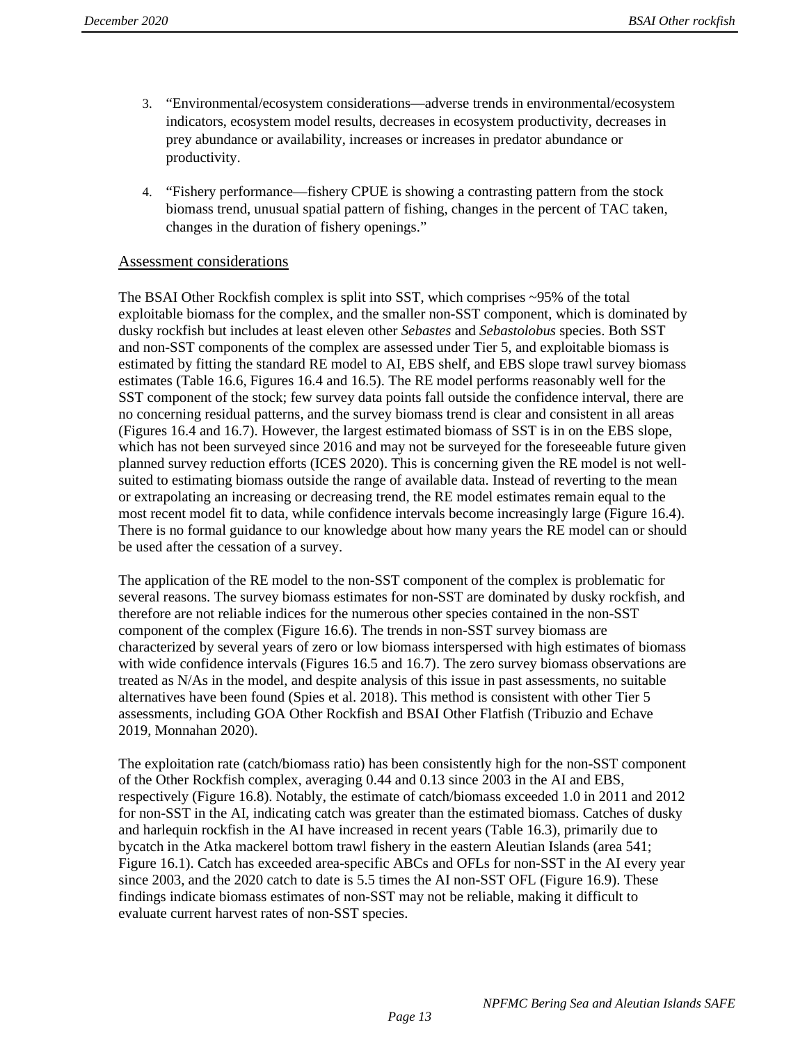- 3. "Environmental/ecosystem considerations—adverse trends in environmental/ecosystem indicators, ecosystem model results, decreases in ecosystem productivity, decreases in prey abundance or availability, increases or increases in predator abundance or productivity.
- 4. "Fishery performance—fishery CPUE is showing a contrasting pattern from the stock biomass trend, unusual spatial pattern of fishing, changes in the percent of TAC taken, changes in the duration of fishery openings."

### Assessment considerations

The BSAI Other Rockfish complex is split into SST, which comprises ~95% of the total exploitable biomass for the complex, and the smaller non-SST component, which is dominated by dusky rockfish but includes at least eleven other *Sebastes* and *Sebastolobus* species. Both SST and non-SST components of the complex are assessed under Tier 5, and exploitable biomass is estimated by fitting the standard RE model to AI, EBS shelf, and EBS slope trawl survey biomass estimates (Table 16.6, Figures 16.4 and 16.5). The RE model performs reasonably well for the SST component of the stock; few survey data points fall outside the confidence interval, there are no concerning residual patterns, and the survey biomass trend is clear and consistent in all areas (Figures 16.4 and 16.7). However, the largest estimated biomass of SST is in on the EBS slope, which has not been surveyed since 2016 and may not be surveyed for the foreseeable future given planned survey reduction efforts (ICES 2020). This is concerning given the RE model is not wellsuited to estimating biomass outside the range of available data. Instead of reverting to the mean or extrapolating an increasing or decreasing trend, the RE model estimates remain equal to the most recent model fit to data, while confidence intervals become increasingly large (Figure 16.4). There is no formal guidance to our knowledge about how many years the RE model can or should be used after the cessation of a survey.

The application of the RE model to the non-SST component of the complex is problematic for several reasons. The survey biomass estimates for non-SST are dominated by dusky rockfish, and therefore are not reliable indices for the numerous other species contained in the non-SST component of the complex (Figure 16.6). The trends in non-SST survey biomass are characterized by several years of zero or low biomass interspersed with high estimates of biomass with wide confidence intervals (Figures 16.5 and 16.7). The zero survey biomass observations are treated as N/As in the model, and despite analysis of this issue in past assessments, no suitable alternatives have been found (Spies et al. 2018). This method is consistent with other Tier 5 assessments, including GOA Other Rockfish and BSAI Other Flatfish (Tribuzio and Echave 2019, Monnahan 2020).

The exploitation rate (catch/biomass ratio) has been consistently high for the non-SST component of the Other Rockfish complex, averaging 0.44 and 0.13 since 2003 in the AI and EBS, respectively (Figure 16.8). Notably, the estimate of catch/biomass exceeded 1.0 in 2011 and 2012 for non-SST in the AI, indicating catch was greater than the estimated biomass. Catches of dusky and harlequin rockfish in the AI have increased in recent years (Table 16.3), primarily due to bycatch in the Atka mackerel bottom trawl fishery in the eastern Aleutian Islands (area 541; Figure 16.1). Catch has exceeded area-specific ABCs and OFLs for non-SST in the AI every year since 2003, and the 2020 catch to date is 5.5 times the AI non-SST OFL (Figure 16.9). These findings indicate biomass estimates of non-SST may not be reliable, making it difficult to evaluate current harvest rates of non-SST species.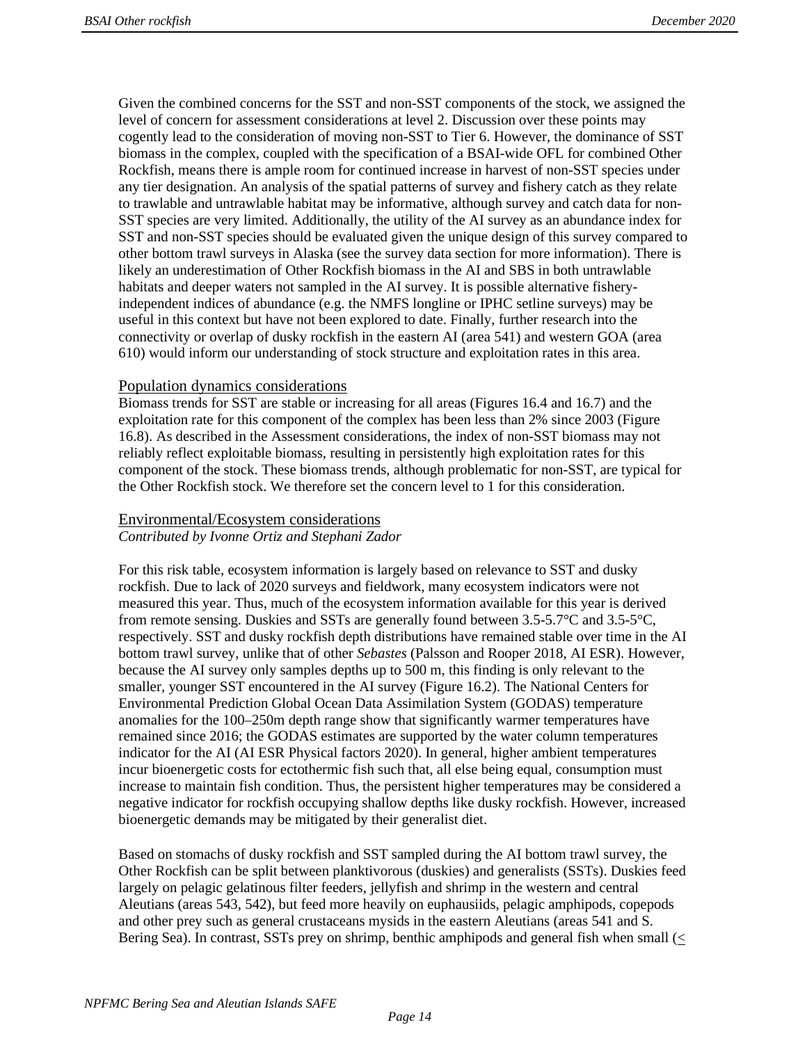Given the combined concerns for the SST and non-SST components of the stock, we assigned the level of concern for assessment considerations at level 2. Discussion over these points may cogently lead to the consideration of moving non-SST to Tier 6. However, the dominance of SST biomass in the complex, coupled with the specification of a BSAI-wide OFL for combined Other Rockfish, means there is ample room for continued increase in harvest of non-SST species under any tier designation. An analysis of the spatial patterns of survey and fishery catch as they relate to trawlable and untrawlable habitat may be informative, although survey and catch data for non-SST species are very limited. Additionally, the utility of the AI survey as an abundance index for SST and non-SST species should be evaluated given the unique design of this survey compared to other bottom trawl surveys in Alaska (see the survey data section for more information). There is likely an underestimation of Other Rockfish biomass in the AI and SBS in both untrawlable habitats and deeper waters not sampled in the AI survey. It is possible alternative fisheryindependent indices of abundance (e.g. the NMFS longline or IPHC setline surveys) may be useful in this context but have not been explored to date. Finally, further research into the connectivity or overlap of dusky rockfish in the eastern AI (area 541) and western GOA (area 610) would inform our understanding of stock structure and exploitation rates in this area.

### Population dynamics considerations

Biomass trends for SST are stable or increasing for all areas (Figures 16.4 and 16.7) and the exploitation rate for this component of the complex has been less than 2% since 2003 (Figure 16.8). As described in the Assessment considerations, the index of non-SST biomass may not reliably reflect exploitable biomass, resulting in persistently high exploitation rates for this component of the stock. These biomass trends, although problematic for non-SST, are typical for the Other Rockfish stock. We therefore set the concern level to 1 for this consideration.

# Environmental/Ecosystem considerations

*Contributed by Ivonne Ortiz and Stephani Zador* 

For this risk table, ecosystem information is largely based on relevance to SST and dusky rockfish. Due to lack of 2020 surveys and fieldwork, many ecosystem indicators were not measured this year. Thus, much of the ecosystem information available for this year is derived from remote sensing. Duskies and SSTs are generally found between 3.5-5.7°C and 3.5-5°C, respectively. SST and dusky rockfish depth distributions have remained stable over time in the AI bottom trawl survey, unlike that of other *Sebastes* (Palsson and Rooper 2018, AI ESR). However, because the AI survey only samples depths up to 500 m, this finding is only relevant to the smaller, younger SST encountered in the AI survey (Figure 16.2). The National Centers for Environmental Prediction Global Ocean Data Assimilation System (GODAS) temperature anomalies for the 100–250m depth range show that significantly warmer temperatures have remained since 2016; the GODAS estimates are supported by the water column temperatures indicator for the AI (AI ESR Physical factors 2020). In general, higher ambient temperatures incur bioenergetic costs for ectothermic fish such that, all else being equal, consumption must increase to maintain fish condition. Thus, the persistent higher temperatures may be considered a negative indicator for rockfish occupying shallow depths like dusky rockfish. However, increased bioenergetic demands may be mitigated by their generalist diet.

Based on stomachs of dusky rockfish and SST sampled during the AI bottom trawl survey, the Other Rockfish can be split between planktivorous (duskies) and generalists (SSTs). Duskies feed largely on pelagic gelatinous filter feeders, jellyfish and shrimp in the western and central Aleutians (areas 543, 542), but feed more heavily on euphausiids, pelagic amphipods, copepods and other prey such as general crustaceans mysids in the eastern Aleutians (areas 541 and S. Bering Sea). In contrast, SSTs prey on shrimp, benthic amphipods and general fish when small (<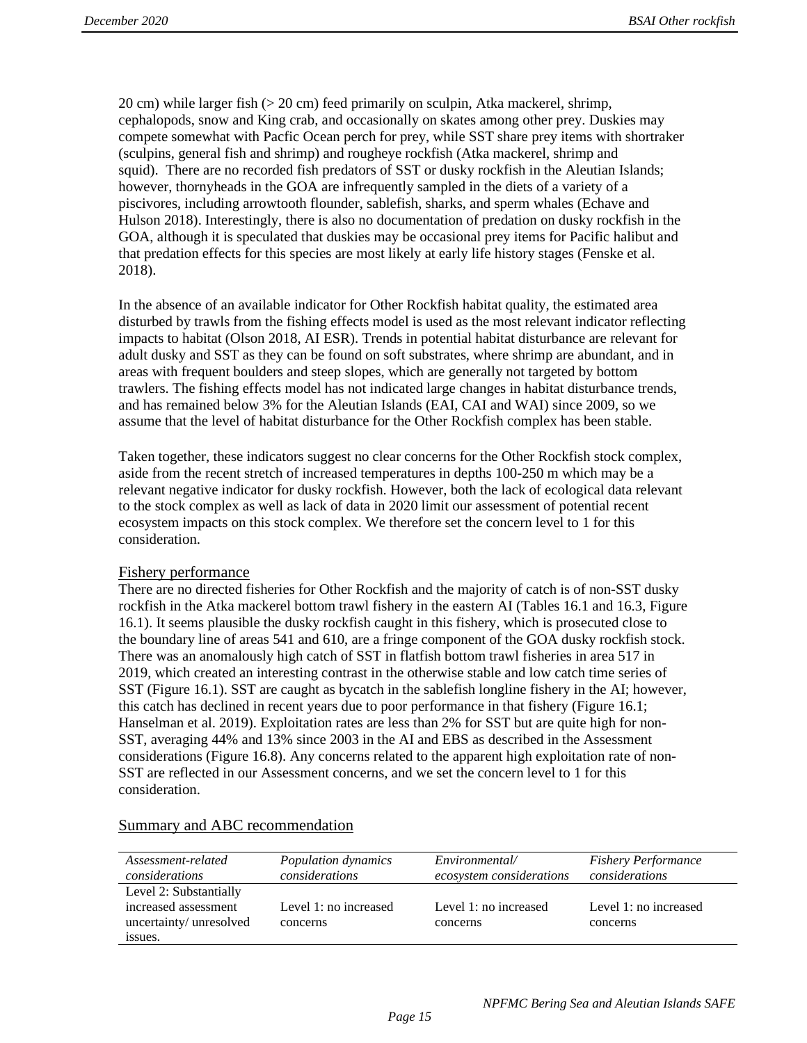20 cm) while larger fish (> 20 cm) feed primarily on sculpin, Atka mackerel, shrimp, cephalopods, snow and King crab, and occasionally on skates among other prey. Duskies may compete somewhat with Pacfic Ocean perch for prey, while SST share prey items with shortraker (sculpins, general fish and shrimp) and rougheye rockfish (Atka mackerel, shrimp and squid). There are no recorded fish predators of SST or dusky rockfish in the Aleutian Islands; however, thornyheads in the GOA are infrequently sampled in the diets of a variety of a piscivores, including arrowtooth flounder, sablefish, sharks, and sperm whales (Echave and Hulson 2018). Interestingly, there is also no documentation of predation on dusky rockfish in the GOA, although it is speculated that duskies may be occasional prey items for Pacific halibut and that predation effects for this species are most likely at early life history stages (Fenske et al. 2018).

In the absence of an available indicator for Other Rockfish habitat quality, the estimated area disturbed by trawls from the fishing effects model is used as the most relevant indicator reflecting impacts to habitat (Olson 2018, AI ESR). Trends in potential habitat disturbance are relevant for adult dusky and SST as they can be found on soft substrates, where shrimp are abundant, and in areas with frequent boulders and steep slopes, which are generally not targeted by bottom trawlers. The fishing effects model has not indicated large changes in habitat disturbance trends, and has remained below 3% for the Aleutian Islands (EAI, CAI and WAI) since 2009, so we assume that the level of habitat disturbance for the Other Rockfish complex has been stable.

Taken together, these indicators suggest no clear concerns for the Other Rockfish stock complex, aside from the recent stretch of increased temperatures in depths 100-250 m which may be a relevant negative indicator for dusky rockfish. However, both the lack of ecological data relevant to the stock complex as well as lack of data in 2020 limit our assessment of potential recent ecosystem impacts on this stock complex. We therefore set the concern level to 1 for this consideration.

### Fishery performance

There are no directed fisheries for Other Rockfish and the majority of catch is of non-SST dusky rockfish in the Atka mackerel bottom trawl fishery in the eastern AI (Tables 16.1 and 16.3, Figure 16.1). It seems plausible the dusky rockfish caught in this fishery, which is prosecuted close to the boundary line of areas 541 and 610, are a fringe component of the GOA dusky rockfish stock. There was an anomalously high catch of SST in flatfish bottom trawl fisheries in area 517 in 2019, which created an interesting contrast in the otherwise stable and low catch time series of SST (Figure 16.1). SST are caught as bycatch in the sablefish longline fishery in the AI; however, this catch has declined in recent years due to poor performance in that fishery (Figure 16.1; Hanselman et al. 2019). Exploitation rates are less than 2% for SST but are quite high for non-SST, averaging 44% and 13% since 2003 in the AI and EBS as described in the Assessment considerations (Figure 16.8). Any concerns related to the apparent high exploitation rate of non-SST are reflected in our Assessment concerns, and we set the concern level to 1 for this consideration.

| Assessment-related     | Population dynamics   | Environmental/           | <b>Fishery Performance</b> |
|------------------------|-----------------------|--------------------------|----------------------------|
| considerations         | considerations        | ecosystem considerations | considerations             |
| Level 2: Substantially |                       |                          |                            |
| increased assessment   | Level 1: no increased | Level 1: no increased    | Level 1: no increased      |
| uncertainty/unresolved | concerns              | concerns                 | concerns                   |
| issues.                |                       |                          |                            |

### Summary and ABC recommendation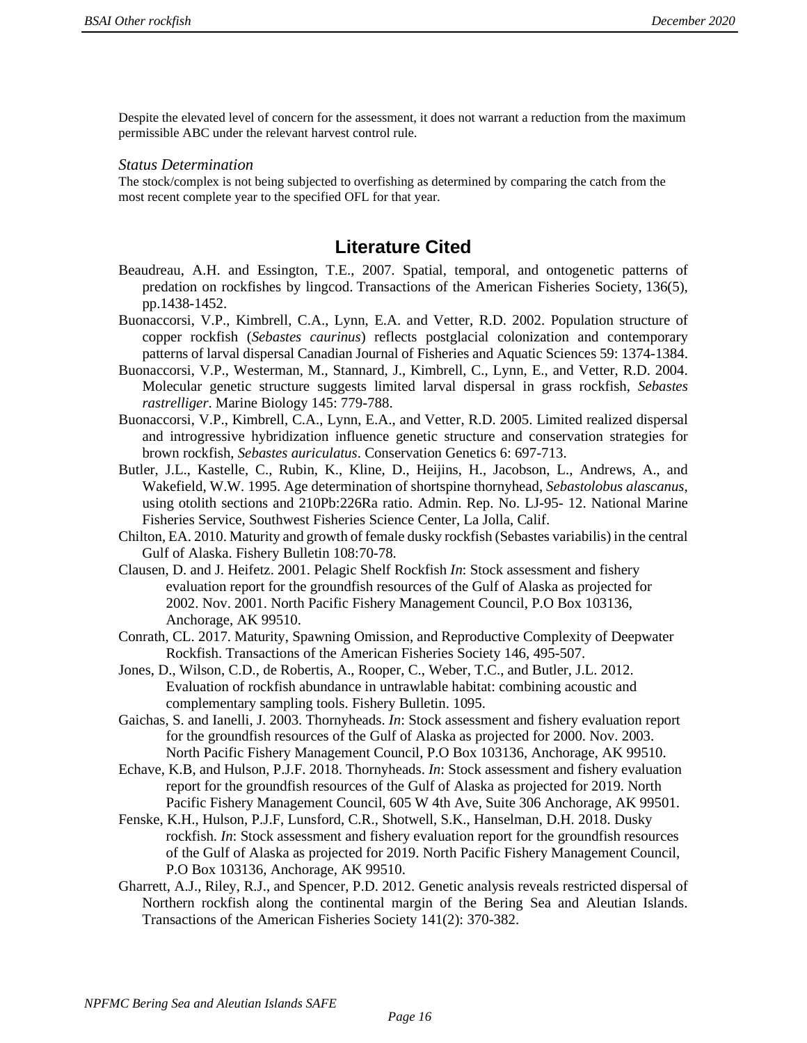Despite the elevated level of concern for the assessment, it does not warrant a reduction from the maximum permissible ABC under the relevant harvest control rule.

#### *Status Determination*

The stock/complex is not being subjected to overfishing as determined by comparing the catch from the most recent complete year to the specified OFL for that year.

## **Literature Cited**

- Beaudreau, A.H. and Essington, T.E., 2007. Spatial, temporal, and ontogenetic patterns of predation on rockfishes by lingcod. Transactions of the American Fisheries Society, 136(5), pp.1438-1452.
- Buonaccorsi, V.P., Kimbrell, C.A., Lynn, E.A. and Vetter, R.D. 2002. Population structure of copper rockfish (*Sebastes caurinus*) reflects postglacial colonization and contemporary patterns of larval dispersal Canadian Journal of Fisheries and Aquatic Sciences 59: 1374-1384.
- Buonaccorsi, V.P., Westerman, M., Stannard, J., Kimbrell, C., Lynn, E., and Vetter, R.D. 2004. Molecular genetic structure suggests limited larval dispersal in grass rockfish, *Sebastes rastrelliger*. Marine Biology 145: 779-788.
- Buonaccorsi, V.P., Kimbrell, C.A., Lynn, E.A., and Vetter, R.D. 2005. Limited realized dispersal and introgressive hybridization influence genetic structure and conservation strategies for brown rockfish, *Sebastes auriculatus*. Conservation Genetics 6: 697-713.
- Butler, J.L., Kastelle, C., Rubin, K., Kline, D., Heijins, H., Jacobson, L., Andrews, A., and Wakefield, W.W. 1995. Age determination of shortspine thornyhead, *Sebastolobus alascanus*, using otolith sections and 210Pb:226Ra ratio. Admin. Rep. No. LJ-95- 12. National Marine Fisheries Service, Southwest Fisheries Science Center, La Jolla, Calif.
- Chilton, EA. 2010. Maturity and growth of female dusky rockfish (Sebastes variabilis) in the central Gulf of Alaska. Fishery Bulletin 108:70-78.
- Clausen, D. and J. Heifetz. 2001. Pelagic Shelf Rockfish *In*: Stock assessment and fishery evaluation report for the groundfish resources of the Gulf of Alaska as projected for 2002. Nov. 2001. North Pacific Fishery Management Council, P.O Box 103136, Anchorage, AK 99510.
- Conrath, CL. 2017. Maturity, Spawning Omission, and Reproductive Complexity of Deepwater Rockfish. Transactions of the American Fisheries Society 146, 495-507.
- Jones, D., Wilson, C.D., de Robertis, A., Rooper, C., Weber, T.C., and Butler, J.L. 2012. Evaluation of rockfish abundance in untrawlable habitat: combining acoustic and complementary sampling tools. Fishery Bulletin. 1095.
- Gaichas, S. and Ianelli, J. 2003. Thornyheads. *In*: Stock assessment and fishery evaluation report for the groundfish resources of the Gulf of Alaska as projected for 2000. Nov. 2003. North Pacific Fishery Management Council, P.O Box 103136, Anchorage, AK 99510.
- Echave, K.B, and Hulson, P.J.F. 2018. Thornyheads. *In*: Stock assessment and fishery evaluation report for the groundfish resources of the Gulf of Alaska as projected for 2019. North Pacific Fishery Management Council, 605 W 4th Ave, Suite 306 Anchorage, AK 99501.
- Fenske, K.H., Hulson, P.J.F, Lunsford, C.R., Shotwell, S.K., Hanselman, D.H. 2018. Dusky rockfish. *In*: Stock assessment and fishery evaluation report for the groundfish resources of the Gulf of Alaska as projected for 2019. North Pacific Fishery Management Council, P.O Box 103136, Anchorage, AK 99510.
- Gharrett, A.J., Riley, R.J., and Spencer, P.D. 2012. Genetic analysis reveals restricted dispersal of Northern rockfish along the continental margin of the Bering Sea and Aleutian Islands. Transactions of the American Fisheries Society 141(2): 370-382.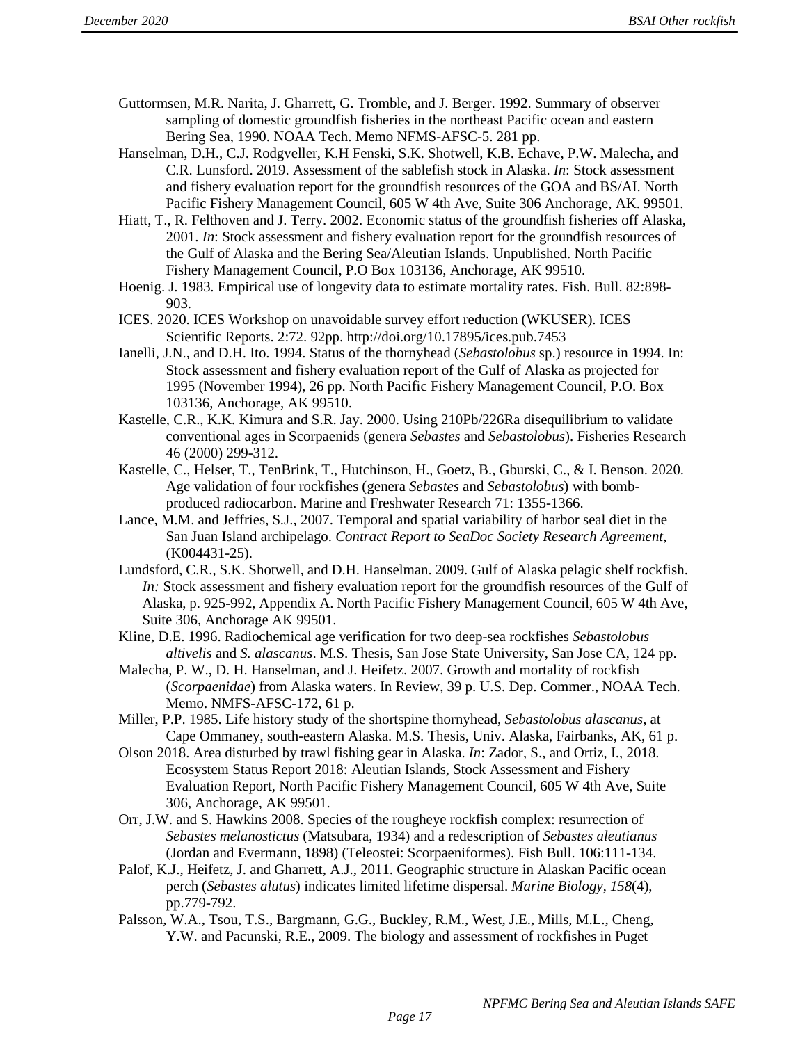- Guttormsen, M.R. Narita, J. Gharrett, G. Tromble, and J. Berger. 1992. Summary of observer sampling of domestic groundfish fisheries in the northeast Pacific ocean and eastern Bering Sea, 1990. NOAA Tech. Memo NFMS-AFSC-5. 281 pp.
- Hanselman, D.H., C.J. Rodgveller, K.H Fenski, S.K. Shotwell, K.B. Echave, P.W. Malecha, and C.R. Lunsford. 2019. Assessment of the sablefish stock in Alaska. *In*: Stock assessment and fishery evaluation report for the groundfish resources of the GOA and BS/AI. North Pacific Fishery Management Council, 605 W 4th Ave, Suite 306 Anchorage, AK. 99501.
- Hiatt, T., R. Felthoven and J. Terry. 2002. Economic status of the groundfish fisheries off Alaska, 2001. *In*: Stock assessment and fishery evaluation report for the groundfish resources of the Gulf of Alaska and the Bering Sea/Aleutian Islands. Unpublished. North Pacific Fishery Management Council, P.O Box 103136, Anchorage, AK 99510.
- Hoenig. J. 1983. Empirical use of longevity data to estimate mortality rates. Fish. Bull. 82:898- 903.
- ICES. 2020. ICES Workshop on unavoidable survey effort reduction (WKUSER). ICES Scientific Reports. 2:72. 92pp. http://doi.org/10.17895/ices.pub.7453
- Ianelli, J.N., and D.H. Ito. 1994. Status of the thornyhead (*Sebastolobus* sp.) resource in 1994. In: Stock assessment and fishery evaluation report of the Gulf of Alaska as projected for 1995 (November 1994), 26 pp. North Pacific Fishery Management Council, P.O. Box 103136, Anchorage, AK 99510.
- Kastelle, C.R., K.K. Kimura and S.R. Jay. 2000. Using 210Pb/226Ra disequilibrium to validate conventional ages in Scorpaenids (genera *Sebastes* and *Sebastolobus*). Fisheries Research 46 (2000) 299-312.
- Kastelle, C., Helser, T., TenBrink, T., Hutchinson, H., Goetz, B., Gburski, C., & I. Benson. 2020. Age validation of four rockfishes (genera *Sebastes* and *Sebastolobus*) with bombproduced radiocarbon. Marine and Freshwater Research 71: 1355-1366.
- Lance, M.M. and Jeffries, S.J., 2007. Temporal and spatial variability of harbor seal diet in the San Juan Island archipelago. *Contract Report to SeaDoc Society Research Agreement*, (K004431-25).
- Lundsford, C.R., S.K. Shotwell, and D.H. Hanselman. 2009. Gulf of Alaska pelagic shelf rockfish. *In:* Stock assessment and fishery evaluation report for the groundfish resources of the Gulf of Alaska, p. 925-992, Appendix A. North Pacific Fishery Management Council, 605 W 4th Ave, Suite 306, Anchorage AK 99501.
- Kline, D.E. 1996. Radiochemical age verification for two deep-sea rockfishes *Sebastolobus altivelis* and *S. alascanus*. M.S. Thesis, San Jose State University, San Jose CA, 124 pp.
- Malecha, P. W., D. H. Hanselman, and J. Heifetz. 2007. Growth and mortality of rockfish (*Scorpaenidae*) from Alaska waters. In Review, 39 p. U.S. Dep. Commer., NOAA Tech. Memo. NMFS-AFSC-172, 61 p.
- Miller, P.P. 1985. Life history study of the shortspine thornyhead, *Sebastolobus alascanus*, at Cape Ommaney, south-eastern Alaska. M.S. Thesis, Univ. Alaska, Fairbanks, AK, 61 p.
- Olson 2018. Area disturbed by trawl fishing gear in Alaska. *In*: Zador, S., and Ortiz, I., 2018. Ecosystem Status Report 2018: Aleutian Islands, Stock Assessment and Fishery Evaluation Report, North Pacific Fishery Management Council, 605 W 4th Ave, Suite 306, Anchorage, AK 99501.
- Orr, J.W. and S. Hawkins 2008. Species of the rougheye rockfish complex: resurrection of *Sebastes melanostictus* (Matsubara, 1934) and a redescription of *Sebastes aleutianus* (Jordan and Evermann, 1898) (Teleostei: Scorpaeniformes). Fish Bull. 106:111-134.
- Palof, K.J., Heifetz, J. and Gharrett, A.J., 2011. Geographic structure in Alaskan Pacific ocean perch (*Sebastes alutus*) indicates limited lifetime dispersal. *Marine Biology*, *158*(4), pp.779-792.
- Palsson, W.A., Tsou, T.S., Bargmann, G.G., Buckley, R.M., West, J.E., Mills, M.L., Cheng, Y.W. and Pacunski, R.E., 2009. The biology and assessment of rockfishes in Puget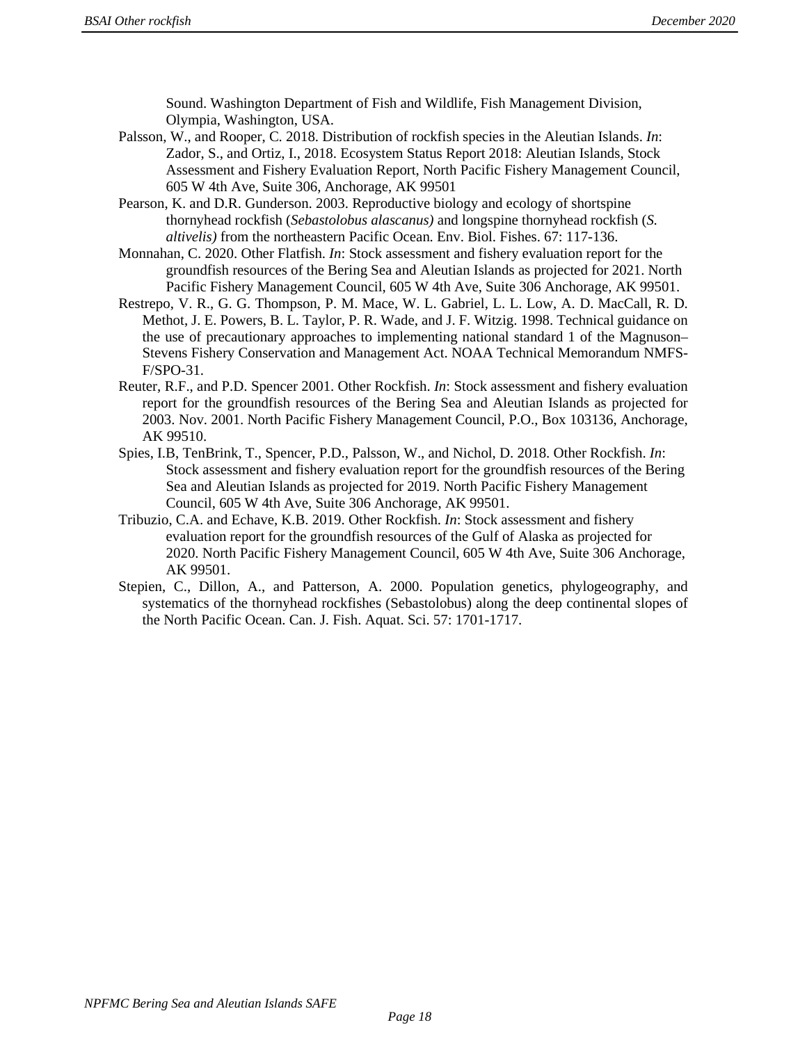Sound. Washington Department of Fish and Wildlife, Fish Management Division, Olympia, Washington, USA.

- Palsson, W., and Rooper, C. 2018. Distribution of rockfish species in the Aleutian Islands. *In*: Zador, S., and Ortiz, I., 2018. Ecosystem Status Report 2018: Aleutian Islands, Stock Assessment and Fishery Evaluation Report, North Pacific Fishery Management Council, 605 W 4th Ave, Suite 306, Anchorage, AK 99501
- Pearson, K. and D.R. Gunderson. 2003. Reproductive biology and ecology of shortspine thornyhead rockfish (*Sebastolobus alascanus)* and longspine thornyhead rockfish (*S. altivelis)* from the northeastern Pacific Ocean. Env. Biol. Fishes. 67: 117-136.
- Monnahan, C. 2020. Other Flatfish. *In*: Stock assessment and fishery evaluation report for the groundfish resources of the Bering Sea and Aleutian Islands as projected for 2021. North Pacific Fishery Management Council, 605 W 4th Ave, Suite 306 Anchorage, AK 99501.
- Restrepo, V. R., G. G. Thompson, P. M. Mace, W. L. Gabriel, L. L. Low, A. D. MacCall, R. D. Methot, J. E. Powers, B. L. Taylor, P. R. Wade, and J. F. Witzig. 1998. Technical guidance on the use of precautionary approaches to implementing national standard 1 of the Magnuson– Stevens Fishery Conservation and Management Act. NOAA Technical Memorandum NMFS-F/SPO-31.
- Reuter, R.F., and P.D. Spencer 2001. Other Rockfish. *In*: Stock assessment and fishery evaluation report for the groundfish resources of the Bering Sea and Aleutian Islands as projected for 2003. Nov. 2001. North Pacific Fishery Management Council, P.O., Box 103136, Anchorage, AK 99510.
- Spies, I.B, TenBrink, T., Spencer, P.D., Palsson, W., and Nichol, D. 2018. Other Rockfish. *In*: Stock assessment and fishery evaluation report for the groundfish resources of the Bering Sea and Aleutian Islands as projected for 2019. North Pacific Fishery Management Council, 605 W 4th Ave, Suite 306 Anchorage, AK 99501.
- Tribuzio, C.A. and Echave, K.B. 2019. Other Rockfish. *In*: Stock assessment and fishery evaluation report for the groundfish resources of the Gulf of Alaska as projected for 2020. North Pacific Fishery Management Council, 605 W 4th Ave, Suite 306 Anchorage, AK 99501.
- Stepien, C., Dillon, A., and Patterson, A. 2000. Population genetics, phylogeography, and systematics of the thornyhead rockfishes (Sebastolobus) along the deep continental slopes of the North Pacific Ocean. Can. J. Fish. Aquat. Sci. 57: 1701-1717.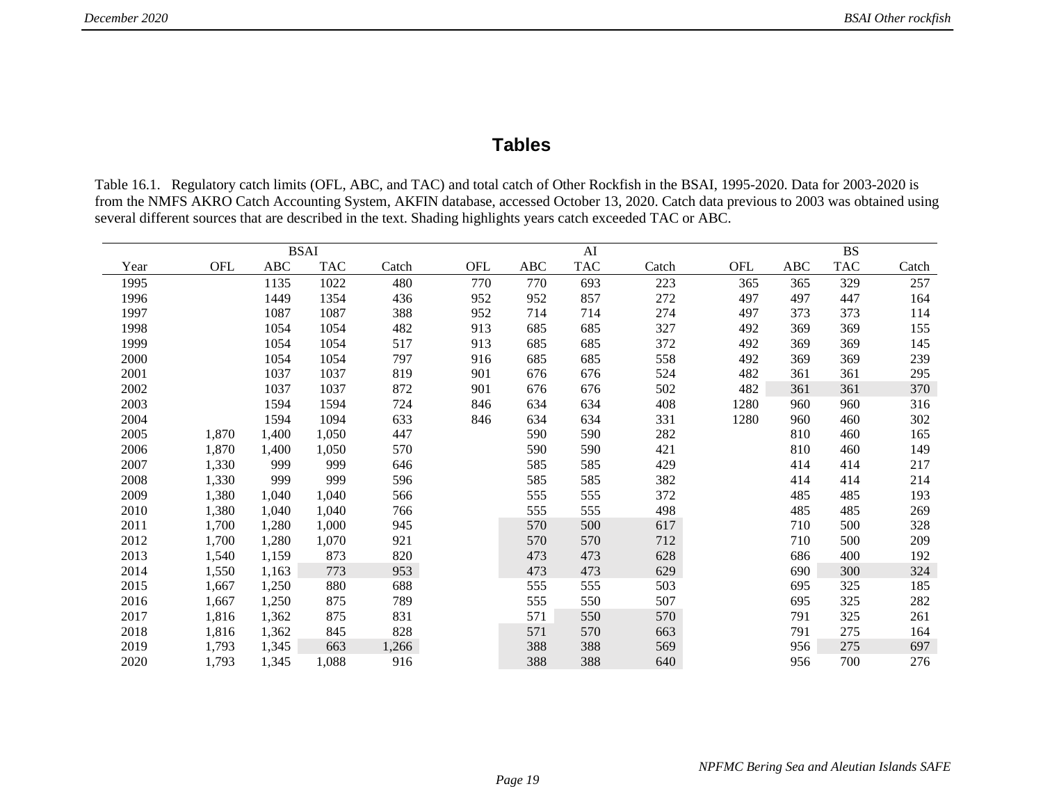# **Tables**

Table 16.1. Regulatory catch limits (OFL, ABC, and TAC) and total catch of Other Rockfish in the BSAI, 1995-2020. Data for 2003-2020 is from the NMFS AKRO Catch Accounting System, AKFIN database, accessed October 13, 2020. Catch data previous to 2003 was obtained using several different sources that are described in the text. Shading highlights years catch exceeded TAC or ABC.

|      |            |            | <b>BSAI</b> |       |     |            | AI         |       |            | <b>BS</b> |            |       |  |
|------|------------|------------|-------------|-------|-----|------------|------------|-------|------------|-----------|------------|-------|--|
| Year | <b>OFL</b> | <b>ABC</b> | <b>TAC</b>  | Catch | OFL | <b>ABC</b> | <b>TAC</b> | Catch | <b>OFL</b> | ABC       | <b>TAC</b> | Catch |  |
| 1995 |            | 1135       | 1022        | 480   | 770 | 770        | 693        | 223   | 365        | 365       | 329        | 257   |  |
| 1996 |            | 1449       | 1354        | 436   | 952 | 952        | 857        | 272   | 497        | 497       | 447        | 164   |  |
| 1997 |            | 1087       | 1087        | 388   | 952 | 714        | 714        | 274   | 497        | 373       | 373        | 114   |  |
| 1998 |            | 1054       | 1054        | 482   | 913 | 685        | 685        | 327   | 492        | 369       | 369        | 155   |  |
| 1999 |            | 1054       | 1054        | 517   | 913 | 685        | 685        | 372   | 492        | 369       | 369        | 145   |  |
| 2000 |            | 1054       | 1054        | 797   | 916 | 685        | 685        | 558   | 492        | 369       | 369        | 239   |  |
| 2001 |            | 1037       | 1037        | 819   | 901 | 676        | 676        | 524   | 482        | 361       | 361        | 295   |  |
| 2002 |            | 1037       | 1037        | 872   | 901 | 676        | 676        | 502   | 482        | 361       | 361        | 370   |  |
| 2003 |            | 1594       | 1594        | 724   | 846 | 634        | 634        | 408   | 1280       | 960       | 960        | 316   |  |
| 2004 |            | 1594       | 1094        | 633   | 846 | 634        | 634        | 331   | 1280       | 960       | 460        | 302   |  |
| 2005 | 1,870      | 1,400      | 1,050       | 447   |     | 590        | 590        | 282   |            | 810       | 460        | 165   |  |
| 2006 | 1,870      | 1,400      | 1,050       | 570   |     | 590        | 590        | 421   |            | 810       | 460        | 149   |  |
| 2007 | 1,330      | 999        | 999         | 646   |     | 585        | 585        | 429   |            | 414       | 414        | 217   |  |
| 2008 | 1,330      | 999        | 999         | 596   |     | 585        | 585        | 382   |            | 414       | 414        | 214   |  |
| 2009 | 1,380      | 1,040      | 1,040       | 566   |     | 555        | 555        | 372   |            | 485       | 485        | 193   |  |
| 2010 | 1,380      | 1,040      | 1,040       | 766   |     | 555        | 555        | 498   |            | 485       | 485        | 269   |  |
| 2011 | 1,700      | 1,280      | 1,000       | 945   |     | 570        | 500        | 617   |            | 710       | 500        | 328   |  |
| 2012 | 1,700      | 1,280      | 1,070       | 921   |     | 570        | 570        | 712   |            | 710       | 500        | 209   |  |
| 2013 | 1,540      | 1,159      | 873         | 820   |     | 473        | 473        | 628   |            | 686       | 400        | 192   |  |
| 2014 | 1,550      | 1,163      | 773         | 953   |     | 473        | 473        | 629   |            | 690       | 300        | 324   |  |
| 2015 | 1,667      | 1,250      | 880         | 688   |     | 555        | 555        | 503   |            | 695       | 325        | 185   |  |
| 2016 | 1,667      | 1,250      | 875         | 789   |     | 555        | 550        | 507   |            | 695       | 325        | 282   |  |
| 2017 | 1,816      | 1,362      | 875         | 831   |     | 571        | 550        | 570   |            | 791       | 325        | 261   |  |
| 2018 | 1,816      | 1,362      | 845         | 828   |     | 571        | 570        | 663   |            | 791       | 275        | 164   |  |
| 2019 | 1,793      | 1,345      | 663         | 1,266 |     | 388        | 388        | 569   |            | 956       | 275        | 697   |  |
| 2020 | 1,793      | 1,345      | 1,088       | 916   |     | 388        | 388        | 640   |            | 956       | 700        | 276   |  |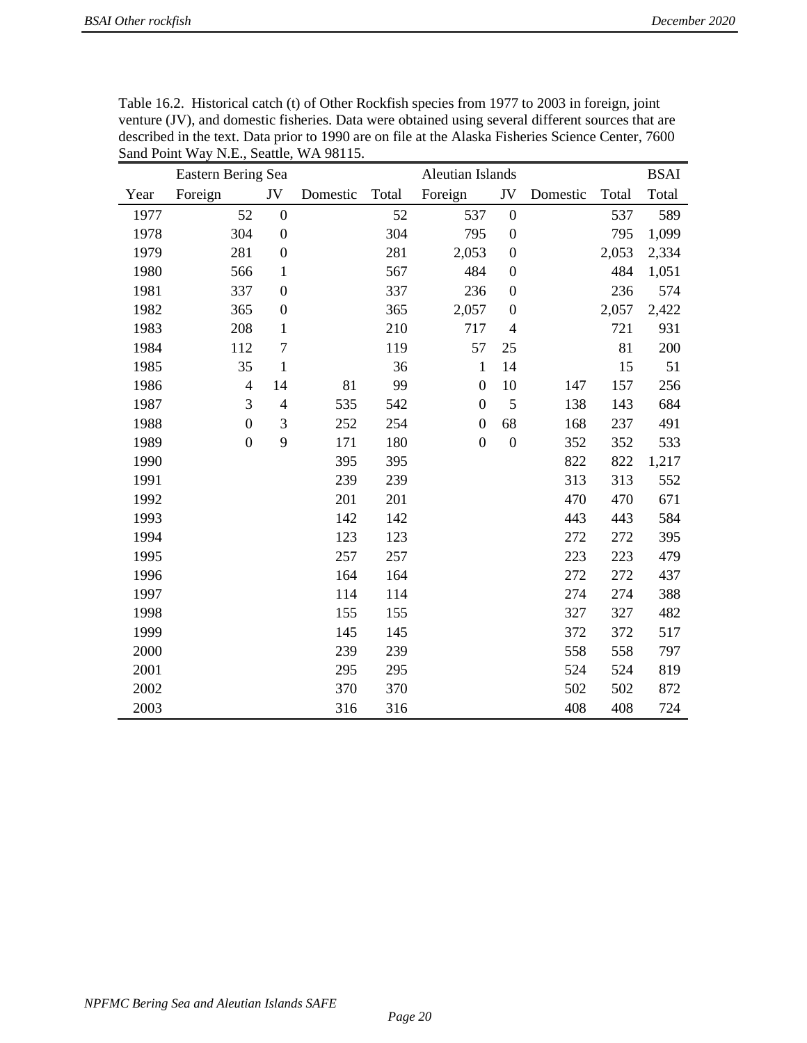|      | Eastern Bering Sea |                          |          | <b>Aleutian Islands</b> |                  |                  |          |       |       |
|------|--------------------|--------------------------|----------|-------------------------|------------------|------------------|----------|-------|-------|
| Year | Foreign            | $\mathrm{JV}$            | Domestic | Total                   | Foreign          | JV               | Domestic | Total | Total |
| 1977 | 52                 | $\boldsymbol{0}$         |          | 52                      | 537              | $\boldsymbol{0}$ |          | 537   | 589   |
| 1978 | 304                | $\boldsymbol{0}$         |          | 304                     | 795              | $\boldsymbol{0}$ |          | 795   | 1,099 |
| 1979 | 281                | $\boldsymbol{0}$         |          | 281                     | 2,053            | $\boldsymbol{0}$ |          | 2,053 | 2,334 |
| 1980 | 566                | $\mathbf{1}$             |          | 567                     | 484              | $\boldsymbol{0}$ |          | 484   | 1,051 |
| 1981 | 337                | $\boldsymbol{0}$         |          | 337                     | 236              | $\boldsymbol{0}$ |          | 236   | 574   |
| 1982 | 365                | $\boldsymbol{0}$         |          | 365                     | 2,057            | $\boldsymbol{0}$ |          | 2,057 | 2,422 |
| 1983 | 208                | 1                        |          | 210                     | 717              | $\overline{4}$   |          | 721   | 931   |
| 1984 | 112                | 7                        |          | 119                     | 57               | 25               |          | 81    | 200   |
| 1985 | 35                 | $\mathbf{1}$             |          | 36                      | $\mathbf{1}$     | 14               |          | 15    | 51    |
| 1986 | $\overline{4}$     | 14                       | 81       | 99                      | $\boldsymbol{0}$ | 10               | 147      | 157   | 256   |
| 1987 | 3                  | $\overline{\mathcal{A}}$ | 535      | 542                     | $\boldsymbol{0}$ | 5                | 138      | 143   | 684   |
| 1988 | $\boldsymbol{0}$   | 3                        | 252      | 254                     | $\boldsymbol{0}$ | 68               | 168      | 237   | 491   |
| 1989 | $\boldsymbol{0}$   | 9                        | 171      | 180                     | $\boldsymbol{0}$ | $\boldsymbol{0}$ | 352      | 352   | 533   |
| 1990 |                    |                          | 395      | 395                     |                  |                  | 822      | 822   | 1,217 |
| 1991 |                    |                          | 239      | 239                     |                  |                  | 313      | 313   | 552   |
| 1992 |                    |                          | 201      | 201                     |                  |                  | 470      | 470   | 671   |
| 1993 |                    |                          | 142      | 142                     |                  |                  | 443      | 443   | 584   |
| 1994 |                    |                          | 123      | 123                     |                  |                  | 272      | 272   | 395   |
| 1995 |                    |                          | 257      | 257                     |                  |                  | 223      | 223   | 479   |
| 1996 |                    |                          | 164      | 164                     |                  |                  | 272      | 272   | 437   |
| 1997 |                    |                          | 114      | 114                     |                  |                  | 274      | 274   | 388   |
| 1998 |                    |                          | 155      | 155                     |                  |                  | 327      | 327   | 482   |
| 1999 |                    |                          | 145      | 145                     |                  |                  | 372      | 372   | 517   |
| 2000 |                    |                          | 239      | 239                     |                  |                  | 558      | 558   | 797   |
| 2001 |                    |                          | 295      | 295                     |                  |                  | 524      | 524   | 819   |
| 2002 |                    |                          | 370      | 370                     |                  |                  | 502      | 502   | 872   |
| 2003 |                    |                          | 316      | 316                     |                  |                  | 408      | 408   | 724   |

Table 16.2. Historical catch (t) of Other Rockfish species from 1977 to 2003 in foreign, joint venture (JV), and domestic fisheries. Data were obtained using several different sources that are described in the text. Data prior to 1990 are on file at the Alaska Fisheries Science Center, 7600 Sand Point Way N.E., Seattle, WA 98115.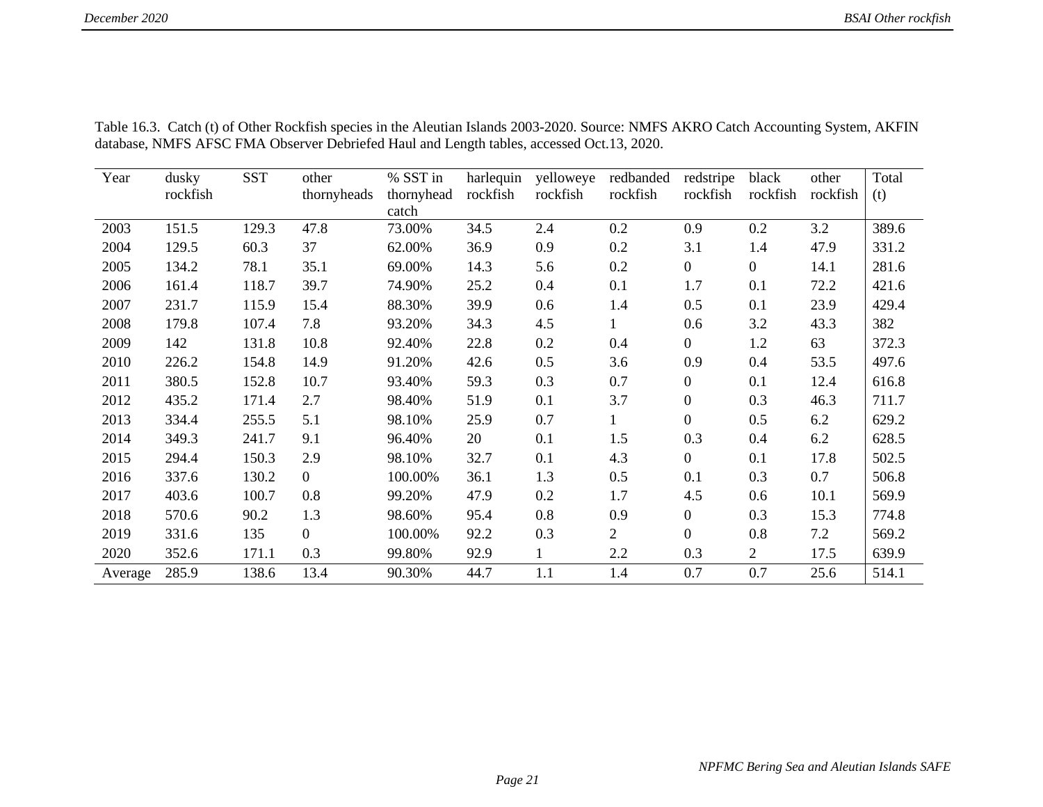| Year    | dusky    | <b>SST</b> | other          | % SST in   | harlequin | yelloweye | redbanded      | redstripe      | black          | other    | Total |
|---------|----------|------------|----------------|------------|-----------|-----------|----------------|----------------|----------------|----------|-------|
|         | rockfish |            | thornyheads    | thornyhead | rockfish  | rockfish  | rockfish       | rockfish       | rockfish       | rockfish | (t)   |
|         |          |            |                | catch      |           |           |                |                |                |          |       |
| 2003    | 151.5    | 129.3      | 47.8           | 73.00%     | 34.5      | 2.4       | 0.2            | 0.9            | 0.2            | 3.2      | 389.6 |
| 2004    | 129.5    | 60.3       | 37             | 62.00%     | 36.9      | 0.9       | 0.2            | 3.1            | 1.4            | 47.9     | 331.2 |
| 2005    | 134.2    | 78.1       | 35.1           | 69.00%     | 14.3      | 5.6       | 0.2            | $\overline{0}$ | $\overline{0}$ | 14.1     | 281.6 |
| 2006    | 161.4    | 118.7      | 39.7           | 74.90%     | 25.2      | 0.4       | 0.1            | 1.7            | 0.1            | 72.2     | 421.6 |
| 2007    | 231.7    | 115.9      | 15.4           | 88.30%     | 39.9      | 0.6       | 1.4            | 0.5            | 0.1            | 23.9     | 429.4 |
| 2008    | 179.8    | 107.4      | 7.8            | 93.20%     | 34.3      | 4.5       | 1              | 0.6            | 3.2            | 43.3     | 382   |
| 2009    | 142      | 131.8      | 10.8           | 92.40%     | 22.8      | 0.2       | 0.4            | $\overline{0}$ | 1.2            | 63       | 372.3 |
| 2010    | 226.2    | 154.8      | 14.9           | 91.20%     | 42.6      | 0.5       | 3.6            | 0.9            | 0.4            | 53.5     | 497.6 |
| 2011    | 380.5    | 152.8      | 10.7           | 93.40%     | 59.3      | 0.3       | 0.7            | $\mathbf{0}$   | 0.1            | 12.4     | 616.8 |
| 2012    | 435.2    | 171.4      | 2.7            | 98.40%     | 51.9      | 0.1       | 3.7            | $\mathbf{0}$   | 0.3            | 46.3     | 711.7 |
| 2013    | 334.4    | 255.5      | 5.1            | 98.10%     | 25.9      | 0.7       | $\mathbf{1}$   | $\mathbf{0}$   | 0.5            | 6.2      | 629.2 |
| 2014    | 349.3    | 241.7      | 9.1            | 96.40%     | 20        | 0.1       | 1.5            | 0.3            | 0.4            | 6.2      | 628.5 |
| 2015    | 294.4    | 150.3      | 2.9            | 98.10%     | 32.7      | 0.1       | 4.3            | $\overline{0}$ | 0.1            | 17.8     | 502.5 |
| 2016    | 337.6    | 130.2      | $\Omega$       | 100.00%    | 36.1      | 1.3       | 0.5            | 0.1            | 0.3            | 0.7      | 506.8 |
| 2017    | 403.6    | 100.7      | 0.8            | 99.20%     | 47.9      | 0.2       | 1.7            | 4.5            | 0.6            | 10.1     | 569.9 |
| 2018    | 570.6    | 90.2       | 1.3            | 98.60%     | 95.4      | 0.8       | 0.9            | $\mathbf{0}$   | 0.3            | 15.3     | 774.8 |
| 2019    | 331.6    | 135        | $\overline{0}$ | 100.00%    | 92.2      | 0.3       | $\overline{2}$ | $\mathbf{0}$   | 0.8            | 7.2      | 569.2 |
| 2020    | 352.6    | 171.1      | 0.3            | 99.80%     | 92.9      |           | 2.2            | 0.3            | $\overline{2}$ | 17.5     | 639.9 |
| Average | 285.9    | 138.6      | 13.4           | 90.30%     | 44.7      | 1.1       | 1.4            | 0.7            | 0.7            | 25.6     | 514.1 |

Table 16.3. Catch (t) of Other Rockfish species in the Aleutian Islands 2003-2020. Source: NMFS AKRO Catch Accounting System, AKFIN database, NMFS AFSC FMA Observer Debriefed Haul and Length tables, accessed Oct.13, 2020.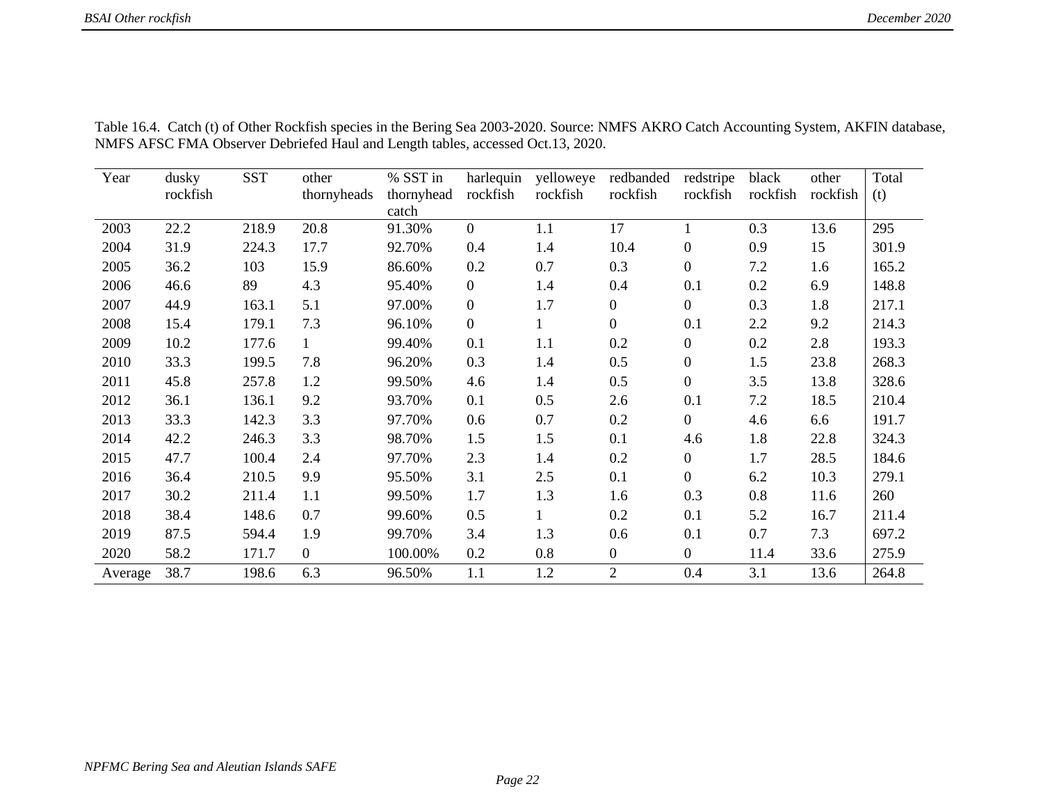| Year    | dusky    | <b>SST</b> | other          | % SST in   | harlequin      | yelloweye | redbanded        | redstripe        | black    | other    | Total |
|---------|----------|------------|----------------|------------|----------------|-----------|------------------|------------------|----------|----------|-------|
|         | rockfish |            | thornyheads    | thornyhead | rockfish       | rockfish  | rockfish         | rockfish         | rockfish | rockfish | (t)   |
|         |          |            |                | catch      |                |           |                  |                  |          |          |       |
| 2003    | 22.2     | 218.9      | 20.8           | 91.30%     | $\overline{0}$ | 1.1       | 17               |                  | 0.3      | 13.6     | 295   |
| 2004    | 31.9     | 224.3      | 17.7           | 92.70%     | 0.4            | 1.4       | 10.4             | $\boldsymbol{0}$ | 0.9      | 15       | 301.9 |
| 2005    | 36.2     | 103        | 15.9           | 86.60%     | 0.2            | 0.7       | 0.3              | $\overline{0}$   | 7.2      | 1.6      | 165.2 |
| 2006    | 46.6     | 89         | 4.3            | 95.40%     | $\overline{0}$ | 1.4       | 0.4              | 0.1              | 0.2      | 6.9      | 148.8 |
| 2007    | 44.9     | 163.1      | 5.1            | 97.00%     | $\overline{0}$ | 1.7       | $\overline{0}$   | $\overline{0}$   | 0.3      | 1.8      | 217.1 |
| 2008    | 15.4     | 179.1      | 7.3            | 96.10%     | $\overline{0}$ |           | $\boldsymbol{0}$ | 0.1              | 2.2      | 9.2      | 214.3 |
| 2009    | 10.2     | 177.6      | 1              | 99.40%     | 0.1            | 1.1       | 0.2              | $\boldsymbol{0}$ | 0.2      | 2.8      | 193.3 |
| 2010    | 33.3     | 199.5      | 7.8            | 96.20%     | 0.3            | 1.4       | 0.5              | $\boldsymbol{0}$ | 1.5      | 23.8     | 268.3 |
| 2011    | 45.8     | 257.8      | 1.2            | 99.50%     | 4.6            | 1.4       | 0.5              | $\overline{0}$   | 3.5      | 13.8     | 328.6 |
| 2012    | 36.1     | 136.1      | 9.2            | 93.70%     | 0.1            | 0.5       | 2.6              | 0.1              | 7.2      | 18.5     | 210.4 |
| 2013    | 33.3     | 142.3      | 3.3            | 97.70%     | 0.6            | 0.7       | 0.2              | $\overline{0}$   | 4.6      | 6.6      | 191.7 |
| 2014    | 42.2     | 246.3      | 3.3            | 98.70%     | 1.5            | 1.5       | 0.1              | 4.6              | 1.8      | 22.8     | 324.3 |
| 2015    | 47.7     | 100.4      | 2.4            | 97.70%     | 2.3            | 1.4       | 0.2              | $\boldsymbol{0}$ | 1.7      | 28.5     | 184.6 |
| 2016    | 36.4     | 210.5      | 9.9            | 95.50%     | 3.1            | 2.5       | 0.1              | $\overline{0}$   | 6.2      | 10.3     | 279.1 |
| 2017    | 30.2     | 211.4      | 1.1            | 99.50%     | 1.7            | 1.3       | 1.6              | 0.3              | 0.8      | 11.6     | 260   |
| 2018    | 38.4     | 148.6      | 0.7            | 99.60%     | 0.5            | 1         | 0.2              | 0.1              | 5.2      | 16.7     | 211.4 |
| 2019    | 87.5     | 594.4      | 1.9            | 99.70%     | 3.4            | 1.3       | 0.6              | 0.1              | 0.7      | 7.3      | 697.2 |
| 2020    | 58.2     | 171.7      | $\overline{0}$ | 100.00%    | 0.2            | 0.8       | $\overline{0}$   | $\overline{0}$   | 11.4     | 33.6     | 275.9 |
| Average | 38.7     | 198.6      | 6.3            | 96.50%     | 1.1            | 1.2       | $\overline{2}$   | 0.4              | 3.1      | 13.6     | 264.8 |

Table 16.4. Catch (t) of Other Rockfish species in the Bering Sea 2003-2020. Source: NMFS AKRO Catch Accounting System, AKFIN database, NMFS AFSC FMA Observer Debriefed Haul and Length tables, accessed Oct.13, 2020.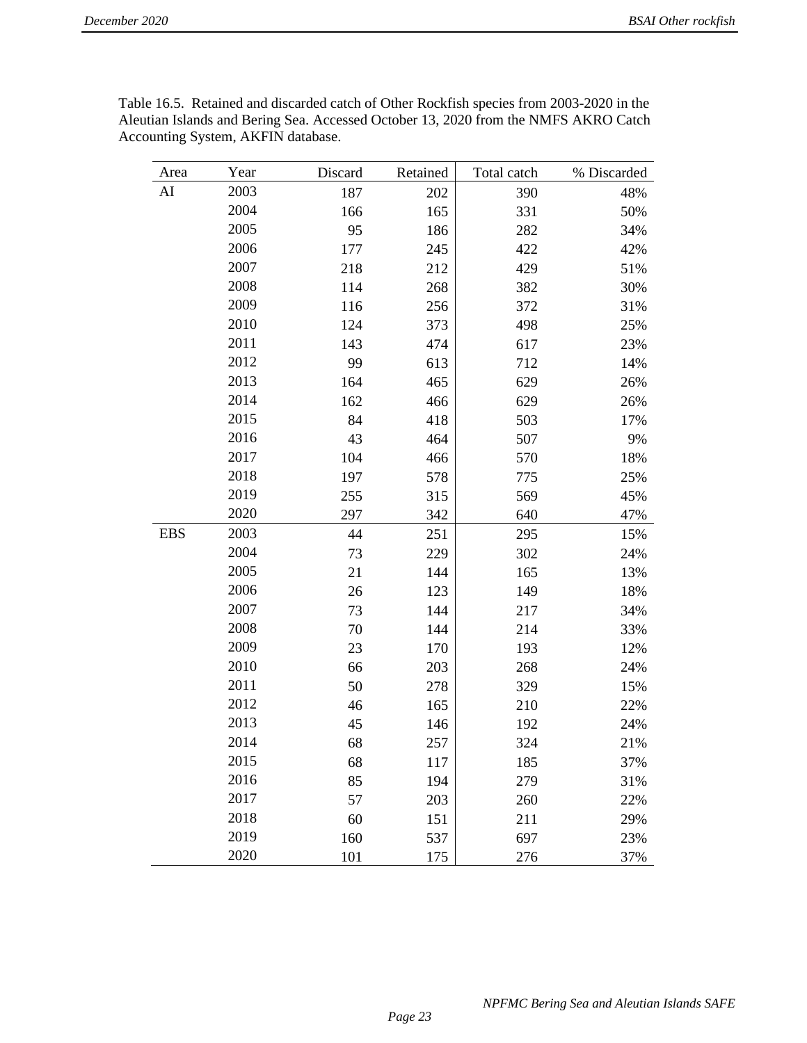| Area       | Year | Discard | Retained | Total catch | % Discarded |
|------------|------|---------|----------|-------------|-------------|
| AI         | 2003 | 187     | 202      | 390         | 48%         |
|            | 2004 | 166     | 165      | 331         | 50%         |
|            | 2005 | 95      | 186      | 282         | 34%         |
|            | 2006 | 177     | 245      | 422         | 42%         |
|            | 2007 | 218     | 212      | 429         | 51%         |
|            | 2008 | 114     | 268      | 382         | 30%         |
|            | 2009 | 116     | 256      | 372         | 31%         |
|            | 2010 | 124     | 373      | 498         | 25%         |
|            | 2011 | 143     | 474      | 617         | 23%         |
|            | 2012 | 99      | 613      | 712         | 14%         |
|            | 2013 | 164     | 465      | 629         | 26%         |
|            | 2014 | 162     | 466      | 629         | 26%         |
|            | 2015 | 84      | 418      | 503         | 17%         |
|            | 2016 | 43      | 464      | 507         | 9%          |
|            | 2017 | 104     | 466      | 570         | 18%         |
|            | 2018 | 197     | 578      | 775         | 25%         |
|            | 2019 | 255     | 315      | 569         | 45%         |
|            | 2020 | 297     | 342      | 640         | 47%         |
| <b>EBS</b> | 2003 | 44      | 251      | 295         | 15%         |
|            | 2004 | 73      | 229      | 302         | 24%         |
|            | 2005 | 21      | 144      | 165         | 13%         |
|            | 2006 | 26      | 123      | 149         | 18%         |
|            | 2007 | 73      | 144      | 217         | 34%         |
|            | 2008 | 70      | 144      | 214         | 33%         |
|            | 2009 | 23      | 170      | 193         | 12%         |
|            | 2010 | 66      | 203      | 268         | 24%         |
|            | 2011 | 50      | 278      | 329         | 15%         |
|            | 2012 | 46      | 165      | 210         | 22%         |
|            | 2013 | 45      | 146      | 192         | 24%         |
|            | 2014 | 68      | 257      | 324         | 21%         |
|            | 2015 | 68      | 117      | 185         | 37%         |
|            | 2016 | 85      | 194      | 279         | 31%         |
|            | 2017 | 57      | 203      | 260         | 22%         |
|            | 2018 | 60      | 151      | 211         | 29%         |
|            | 2019 | 160     | 537      | 697         | 23%         |
|            | 2020 | 101     | 175      | 276         | 37%         |

Table 16.5. Retained and discarded catch of Other Rockfish species from 2003-2020 in the Aleutian Islands and Bering Sea. Accessed October 13, 2020 from the NMFS AKRO Catch Accounting System, AKFIN database.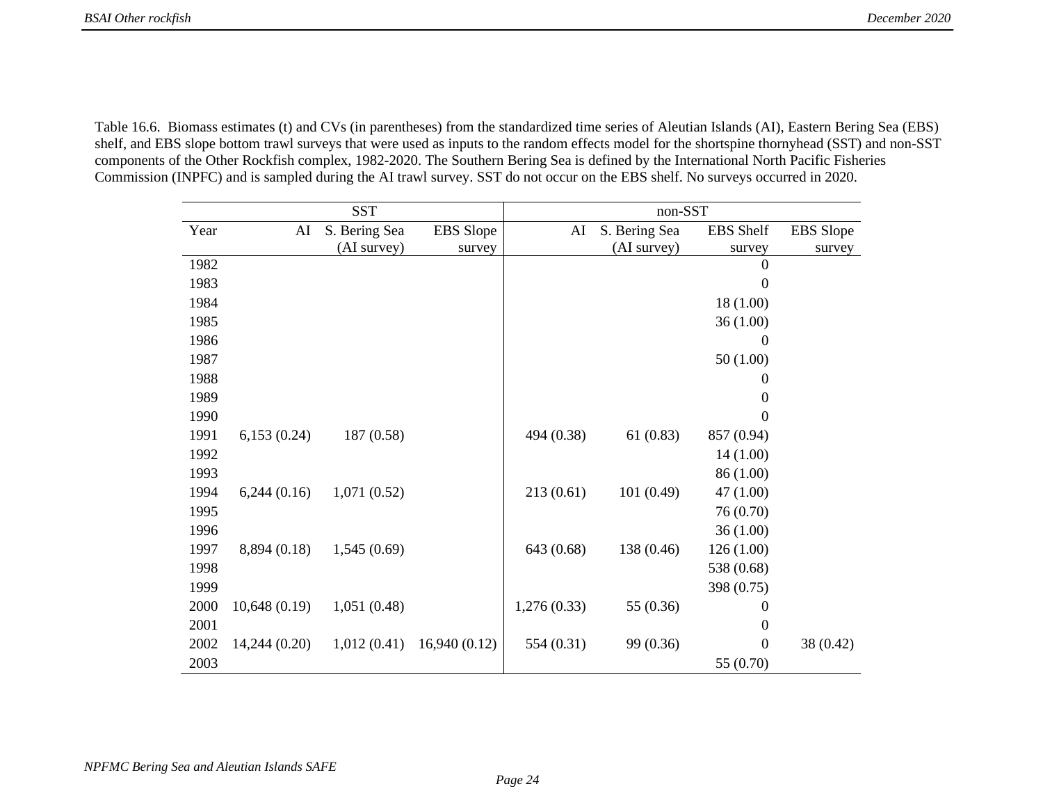Table 16.6. Biomass estimates (t) and CVs (in parentheses) from the standardized time series of Aleutian Islands (AI), Eastern Bering Sea (EBS) shelf, and EBS slope bottom trawl surveys that were used as inputs to the random effects model for the shortspine thornyhead (SST) and non-SST components of the Other Rockfish complex, 1982-2020. The Southern Bering Sea is defined by the International North Pacific Fisheries Commission (INPFC) and is sampled during the AI trawl survey. SST do not occur on the EBS shelf. No surveys occurred in 2020.

| <b>SST</b> |               |               | $non- SST$       |             |               |                  |                  |
|------------|---------------|---------------|------------------|-------------|---------------|------------------|------------------|
| Year       | AI            | S. Bering Sea | <b>EBS</b> Slope | AI          | S. Bering Sea | EBS Shelf        | <b>EBS</b> Slope |
|            |               | (AI survey)   | survey           |             | (AI survey)   | survey           | survey           |
| 1982       |               |               |                  |             |               | $\boldsymbol{0}$ |                  |
| 1983       |               |               |                  |             |               | $\boldsymbol{0}$ |                  |
| 1984       |               |               |                  |             |               | 18 (1.00)        |                  |
| 1985       |               |               |                  |             |               | 36(1.00)         |                  |
| 1986       |               |               |                  |             |               | $\boldsymbol{0}$ |                  |
| 1987       |               |               |                  |             |               | 50(1.00)         |                  |
| 1988       |               |               |                  |             |               | 0                |                  |
| 1989       |               |               |                  |             |               | 0                |                  |
| 1990       |               |               |                  |             |               | 0                |                  |
| 1991       | 6,153(0.24)   | 187 (0.58)    |                  | 494 (0.38)  | 61(0.83)      | 857 (0.94)       |                  |
| 1992       |               |               |                  |             |               | 14(1.00)         |                  |
| 1993       |               |               |                  |             |               | 86 (1.00)        |                  |
| 1994       | 6,244(0.16)   | 1,071(0.52)   |                  | 213(0.61)   | 101(0.49)     | 47 (1.00)        |                  |
| 1995       |               |               |                  |             |               | 76 (0.70)        |                  |
| 1996       |               |               |                  |             |               | 36(1.00)         |                  |
| 1997       | 8,894 (0.18)  | 1,545(0.69)   |                  | 643 (0.68)  | 138 (0.46)    | 126(1.00)        |                  |
| 1998       |               |               |                  |             |               | 538 (0.68)       |                  |
| 1999       |               |               |                  |             |               | 398 (0.75)       |                  |
| 2000       | 10,648(0.19)  | 1,051(0.48)   |                  | 1,276(0.33) | 55 (0.36)     | $\boldsymbol{0}$ |                  |
| 2001       |               |               |                  |             |               | $\boldsymbol{0}$ |                  |
| 2002       | 14,244 (0.20) | 1,012(0.41)   | 16,940(0.12)     | 554 (0.31)  | 99 (0.36)     | $\boldsymbol{0}$ | 38 (0.42)        |
| 2003       |               |               |                  |             |               | 55 (0.70)        |                  |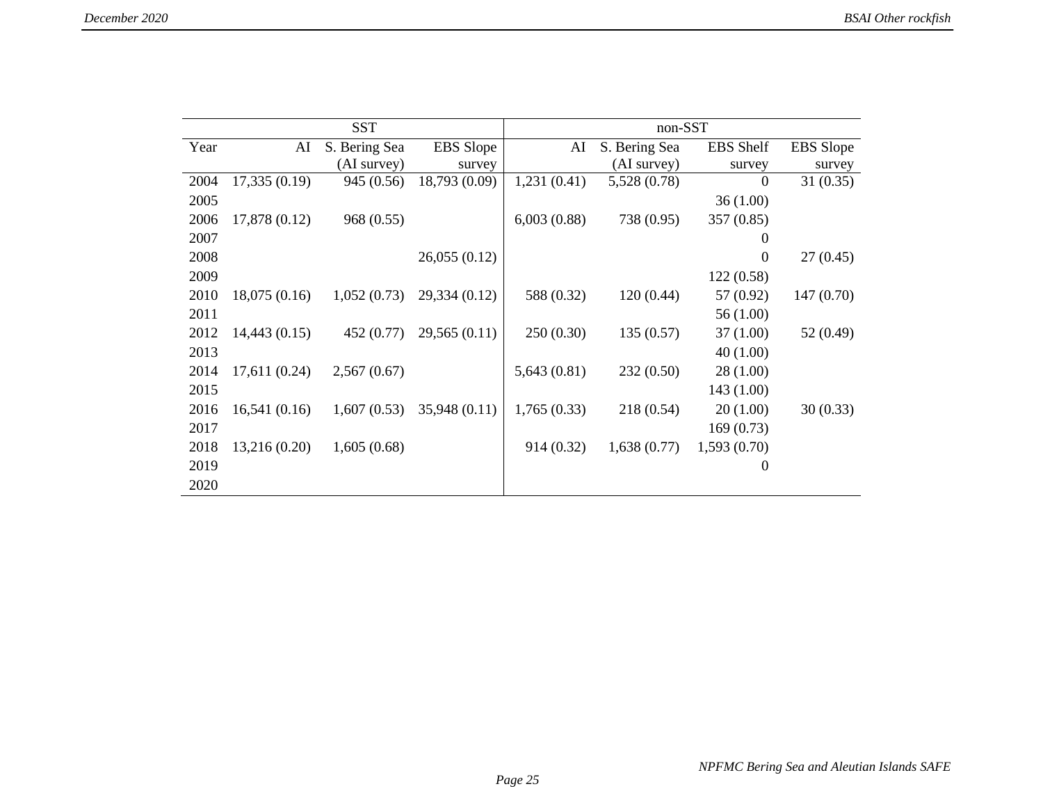| <b>SST</b> |               |               | non-SST          |             |               |                  |                  |
|------------|---------------|---------------|------------------|-------------|---------------|------------------|------------------|
| Year       | AI            | S. Bering Sea | <b>EBS</b> Slope | AI          | S. Bering Sea | <b>EBS</b> Shelf | <b>EBS</b> Slope |
|            |               | (AI survey)   | survey           |             | (AI survey)   | survey           | survey           |
| 2004       | 17,335 (0.19) | 945 (0.56)    | 18,793 (0.09)    | 1,231(0.41) | 5,528 (0.78)  | $\boldsymbol{0}$ | 31(0.35)         |
| 2005       |               |               |                  |             |               | 36(1.00)         |                  |
| 2006       | 17,878 (0.12) | 968 (0.55)    |                  | 6,003(0.88) | 738 (0.95)    | 357(0.85)        |                  |
| 2007       |               |               |                  |             |               | $\mathbf{0}$     |                  |
| 2008       |               |               | 26,055(0.12)     |             |               | $\boldsymbol{0}$ | 27(0.45)         |
| 2009       |               |               |                  |             |               | 122(0.58)        |                  |
| 2010       | 18,075(0.16)  | 1,052(0.73)   | 29,334 (0.12)    | 588 (0.32)  | 120(0.44)     | 57 (0.92)        | 147(0.70)        |
| 2011       |               |               |                  |             |               | 56 (1.00)        |                  |
| 2012       | 14,443 (0.15) | 452 (0.77)    | 29,565(0.11)     | 250(0.30)   | 135(0.57)     | 37 (1.00)        | 52 (0.49)        |
| 2013       |               |               |                  |             |               | 40(1.00)         |                  |
| 2014       | 17,611 (0.24) | 2,567(0.67)   |                  | 5,643(0.81) | 232(0.50)     | 28(1.00)         |                  |
| 2015       |               |               |                  |             |               | 143 (1.00)       |                  |
| 2016       | 16,541(0.16)  | 1,607(0.53)   | 35,948 (0.11)    | 1,765(0.33) | 218 (0.54)    | 20(1.00)         | 30(0.33)         |
| 2017       |               |               |                  |             |               | 169(0.73)        |                  |
| 2018       | 13,216 (0.20) | 1,605(0.68)   |                  | 914 (0.32)  | 1,638(0.77)   | 1,593(0.70)      |                  |
| 2019       |               |               |                  |             |               | $\theta$         |                  |
| 2020       |               |               |                  |             |               |                  |                  |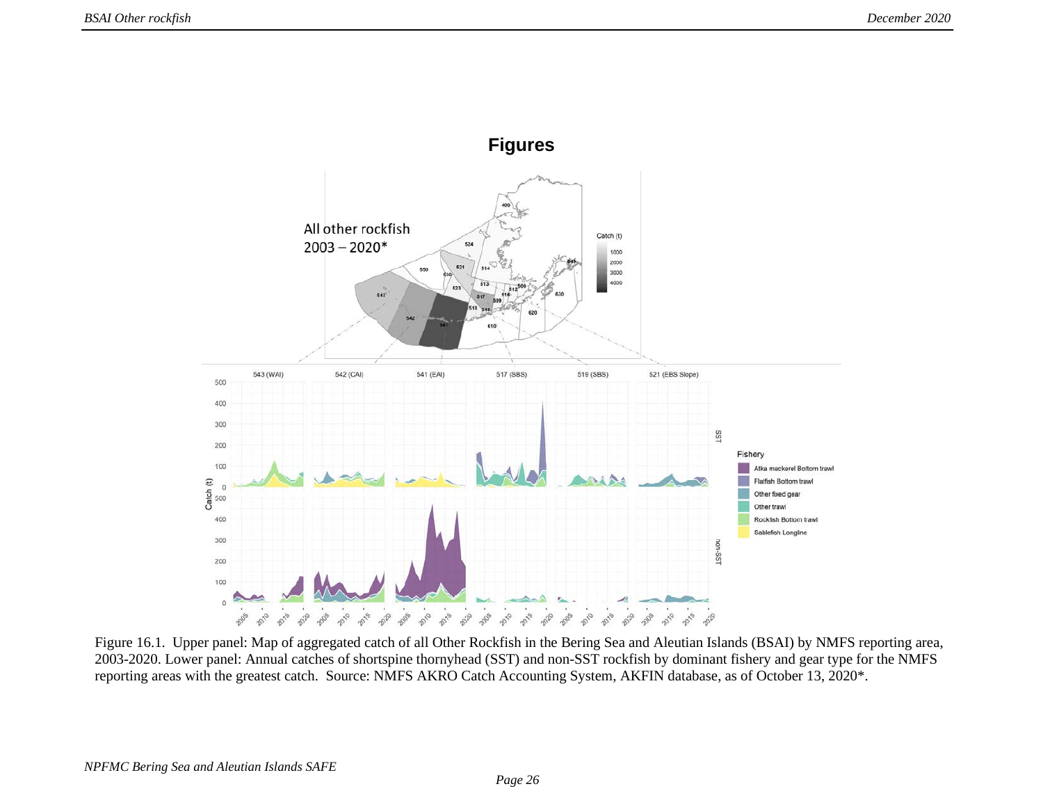

Figure 16.1. Upper panel: Map of aggregated catch of all Other Rockfish in the Bering Sea and Aleutian Islands (BSAI) by NMFS reporting area, 2003-2020. Lower panel: Annual catches of shortspine thornyhead (SST) and non-SST rockfish by dominant fishery and gear type for the NMFS reporting areas with the greatest catch. Source: NMFS AKRO Catch Accounting System, AKFIN database, as of October 13, 2020\*.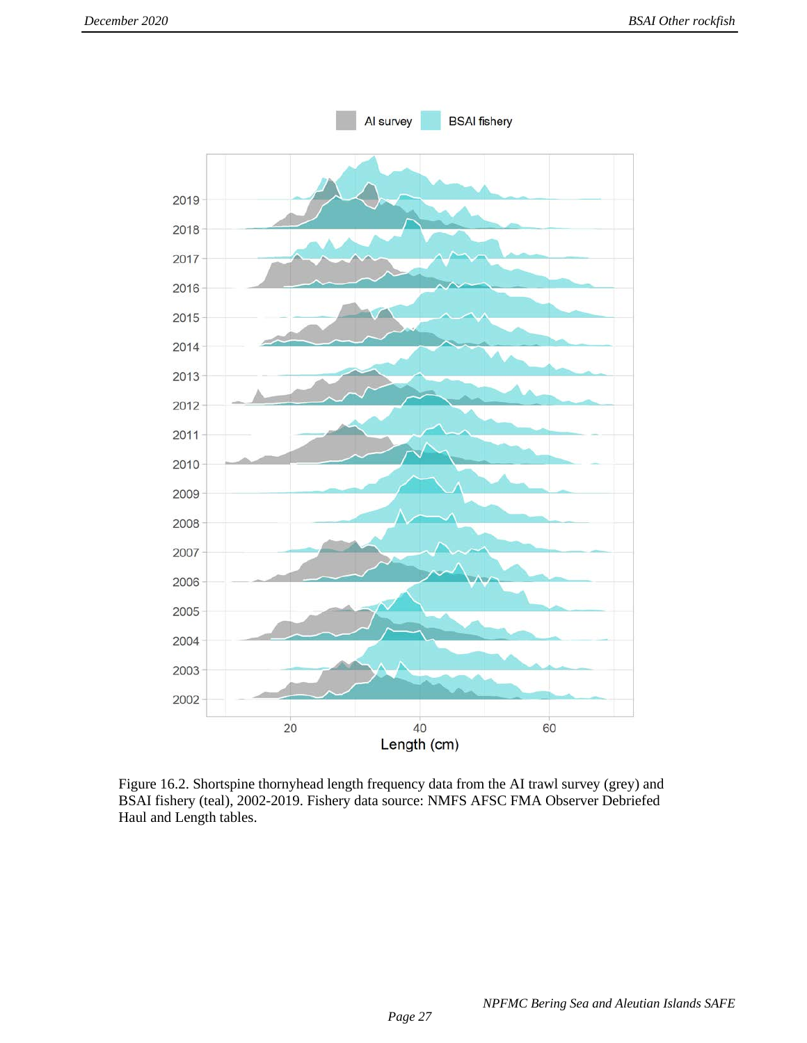

Figure 16.2. Shortspine thornyhead length frequency data from the AI trawl survey (grey) and BSAI fishery (teal), 2002-2019. Fishery data source: NMFS AFSC FMA Observer Debriefed Haul and Length tables.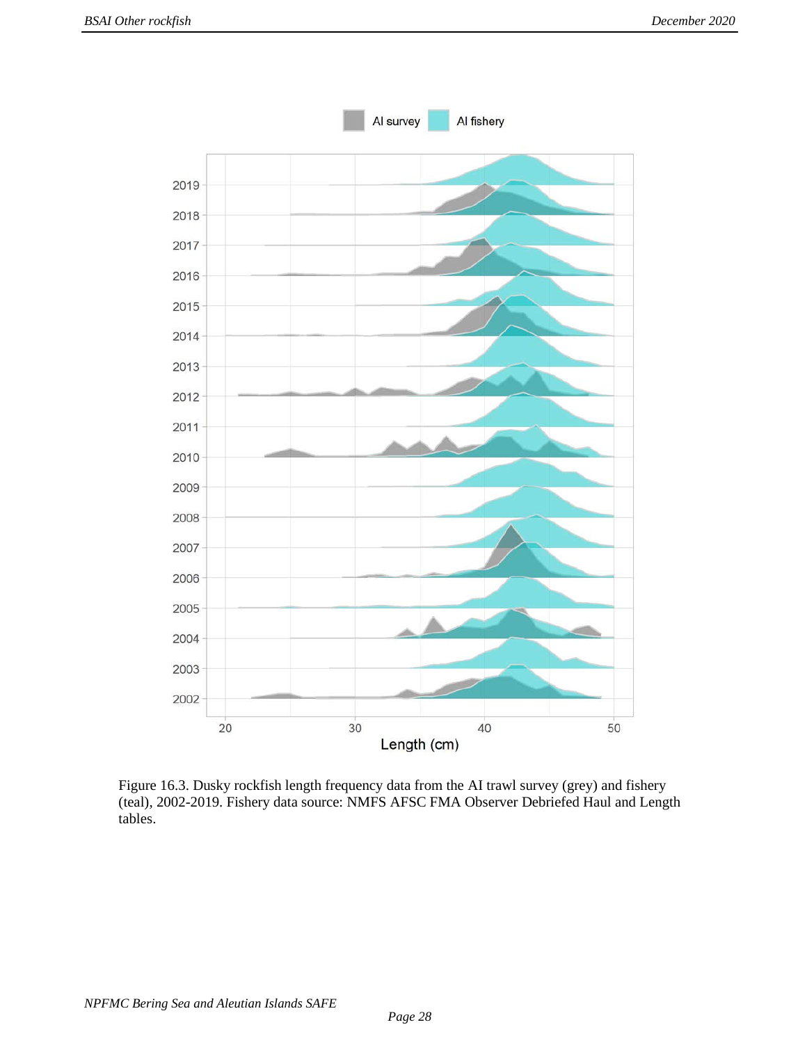

Figure 16.3. Dusky rockfish length frequency data from the AI trawl survey (grey) and fishery (teal), 2002-2019. Fishery data source: NMFS AFSC FMA Observer Debriefed Haul and Length tables.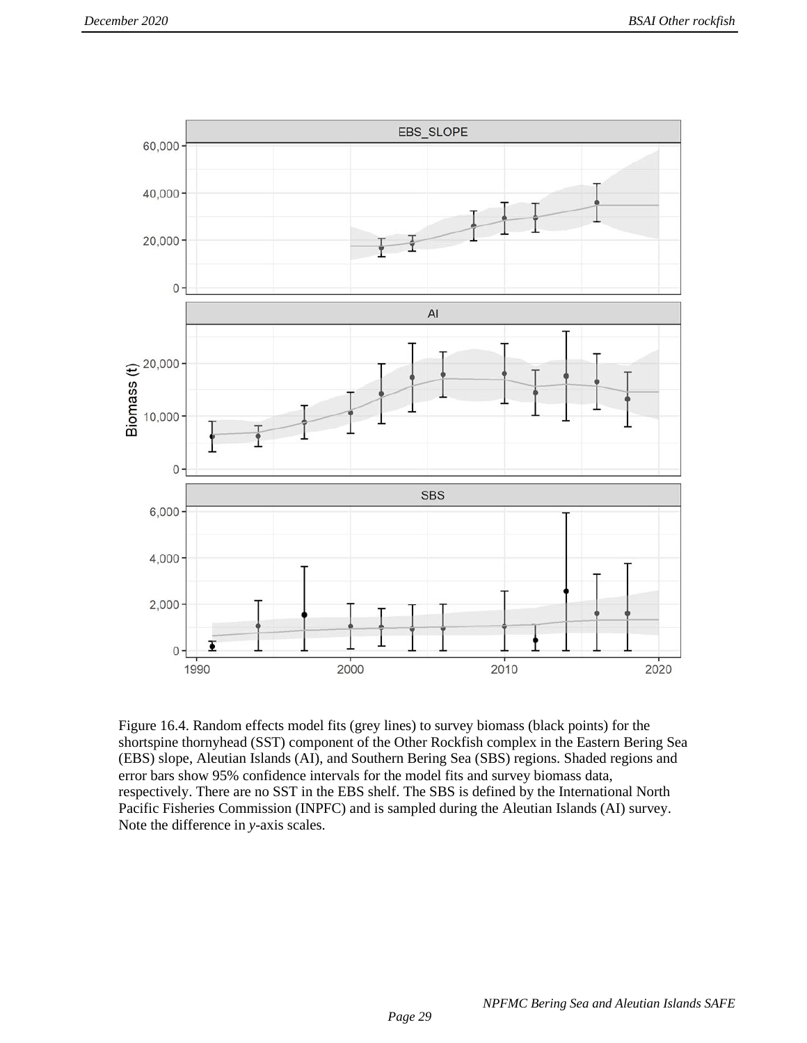

Figure 16.4. Random effects model fits (grey lines) to survey biomass (black points) for the shortspine thornyhead (SST) component of the Other Rockfish complex in the Eastern Bering Sea (EBS) slope, Aleutian Islands (AI), and Southern Bering Sea (SBS) regions. Shaded regions and error bars show 95% confidence intervals for the model fits and survey biomass data, respectively. There are no SST in the EBS shelf. The SBS is defined by the International North Pacific Fisheries Commission (INPFC) and is sampled during the Aleutian Islands (AI) survey. Note the difference in *y*-axis scales.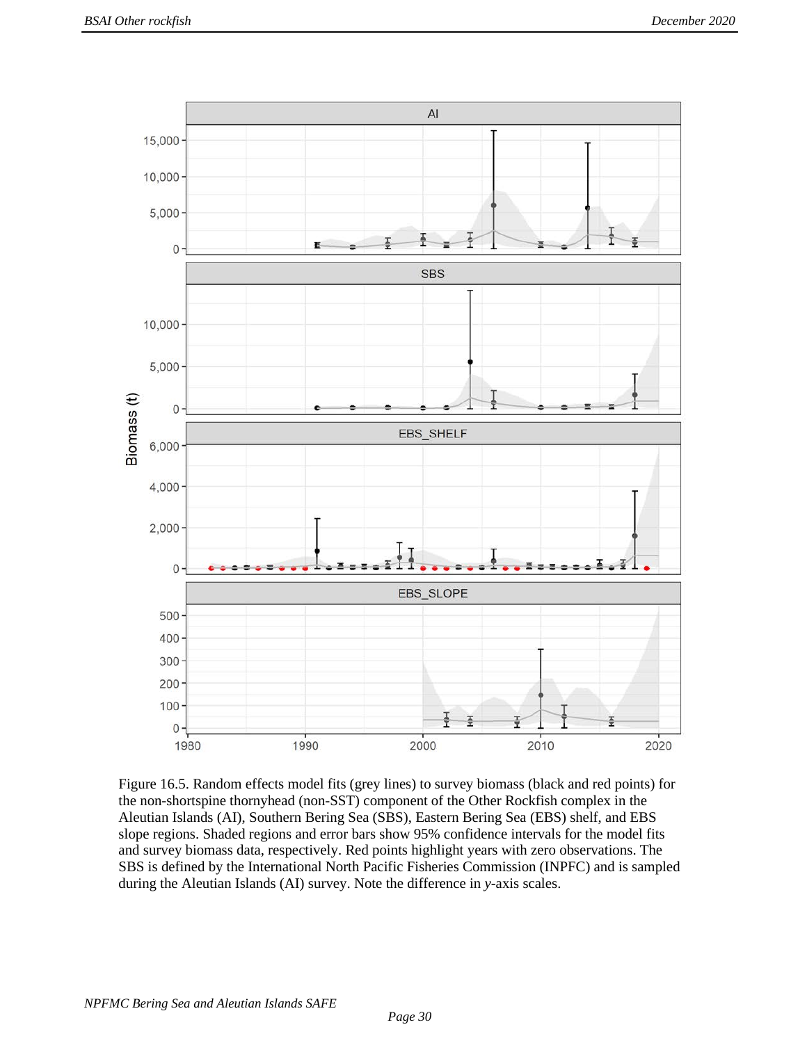

Figure 16.5. Random effects model fits (grey lines) to survey biomass (black and red points) for the non-shortspine thornyhead (non-SST) component of the Other Rockfish complex in the Aleutian Islands (AI), Southern Bering Sea (SBS), Eastern Bering Sea (EBS) shelf, and EBS slope regions. Shaded regions and error bars show 95% confidence intervals for the model fits and survey biomass data, respectively. Red points highlight years with zero observations. The SBS is defined by the International North Pacific Fisheries Commission (INPFC) and is sampled during the Aleutian Islands (AI) survey. Note the difference in *y*-axis scales.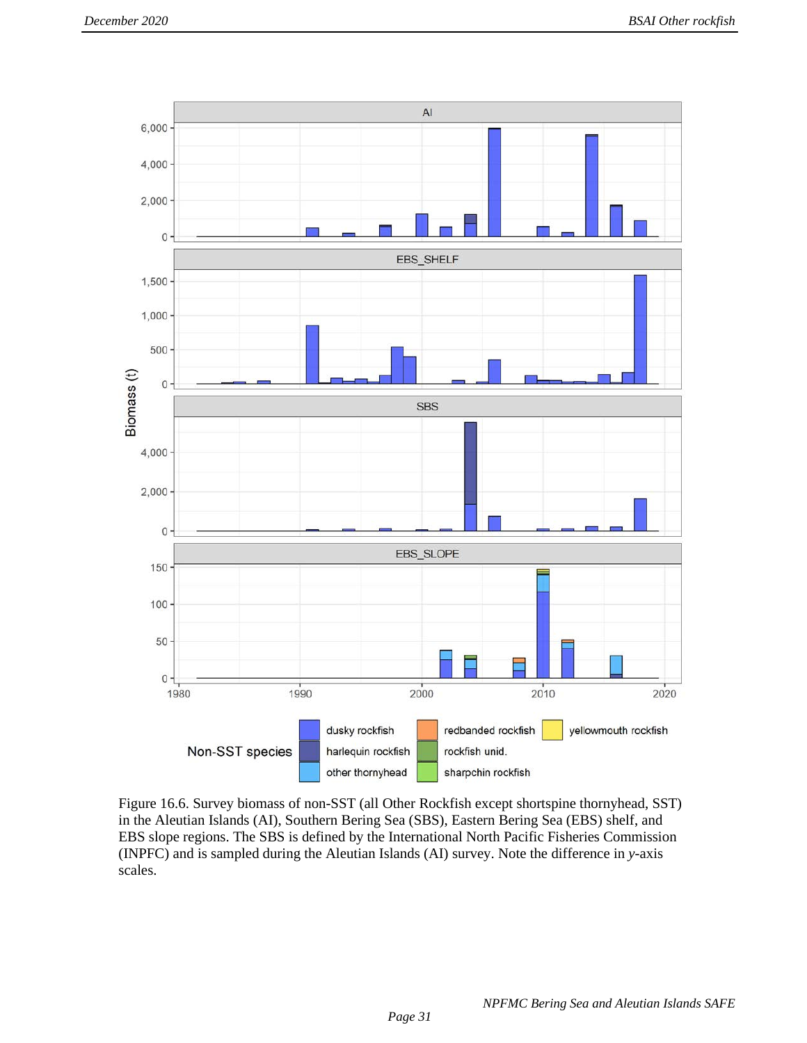

Figure 16.6. Survey biomass of non-SST (all Other Rockfish except shortspine thornyhead, SST) in the Aleutian Islands (AI), Southern Bering Sea (SBS), Eastern Bering Sea (EBS) shelf, and EBS slope regions. The SBS is defined by the International North Pacific Fisheries Commission (INPFC) and is sampled during the Aleutian Islands (AI) survey. Note the difference in *y*-axis scales.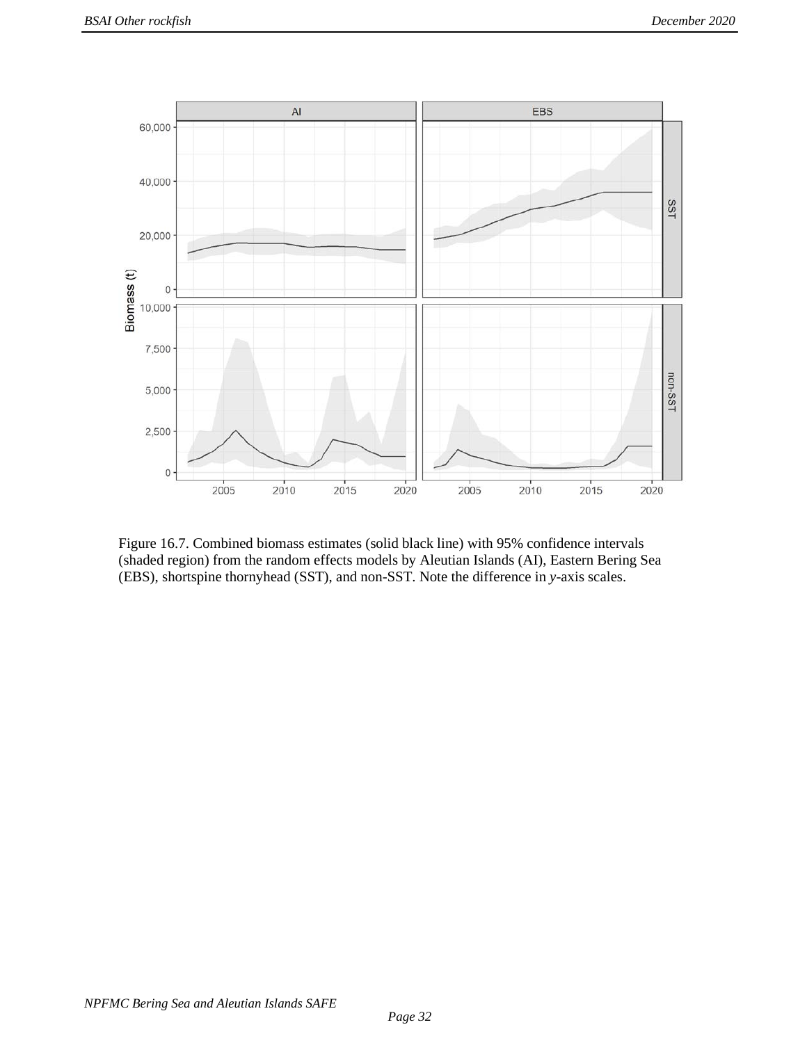

Figure 16.7. Combined biomass estimates (solid black line) with 95% confidence intervals (shaded region) from the random effects models by Aleutian Islands (AI), Eastern Bering Sea (EBS), shortspine thornyhead (SST), and non-SST. Note the difference in *y*-axis scales.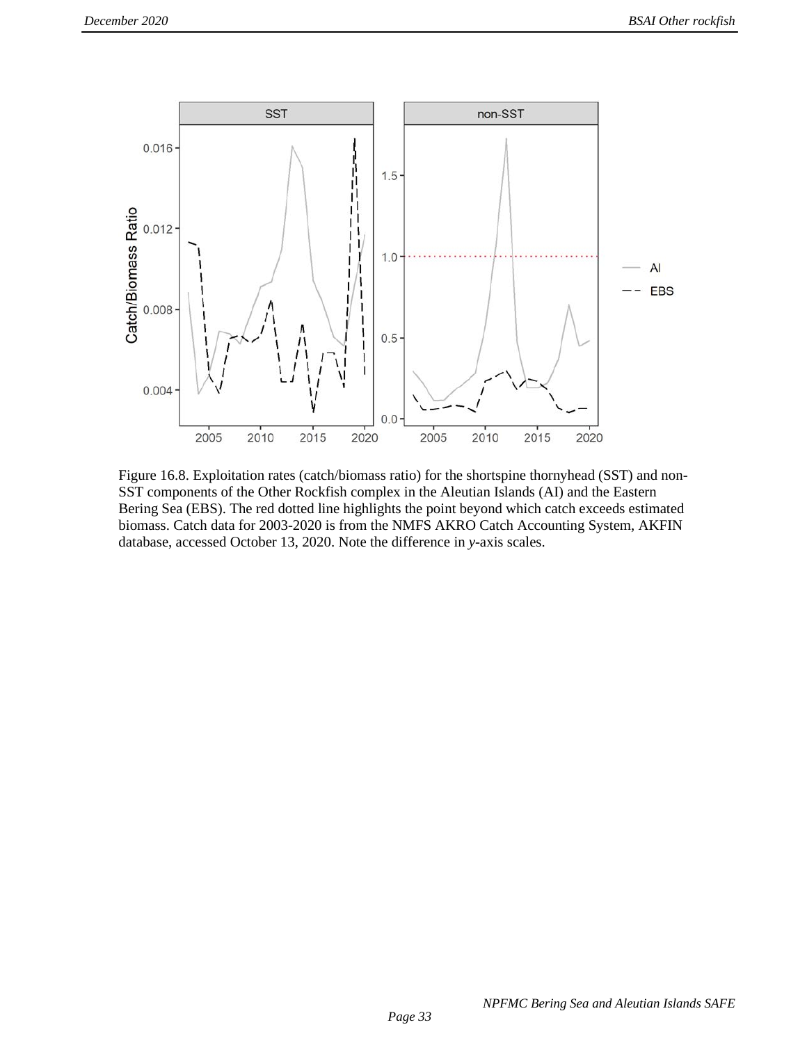

Figure 16.8. Exploitation rates (catch/biomass ratio) for the shortspine thornyhead (SST) and non-SST components of the Other Rockfish complex in the Aleutian Islands (AI) and the Eastern Bering Sea (EBS). The red dotted line highlights the point beyond which catch exceeds estimated biomass. Catch data for 2003-2020 is from the NMFS AKRO Catch Accounting System, AKFIN database, accessed October 13, 2020. Note the difference in *y*-axis scales.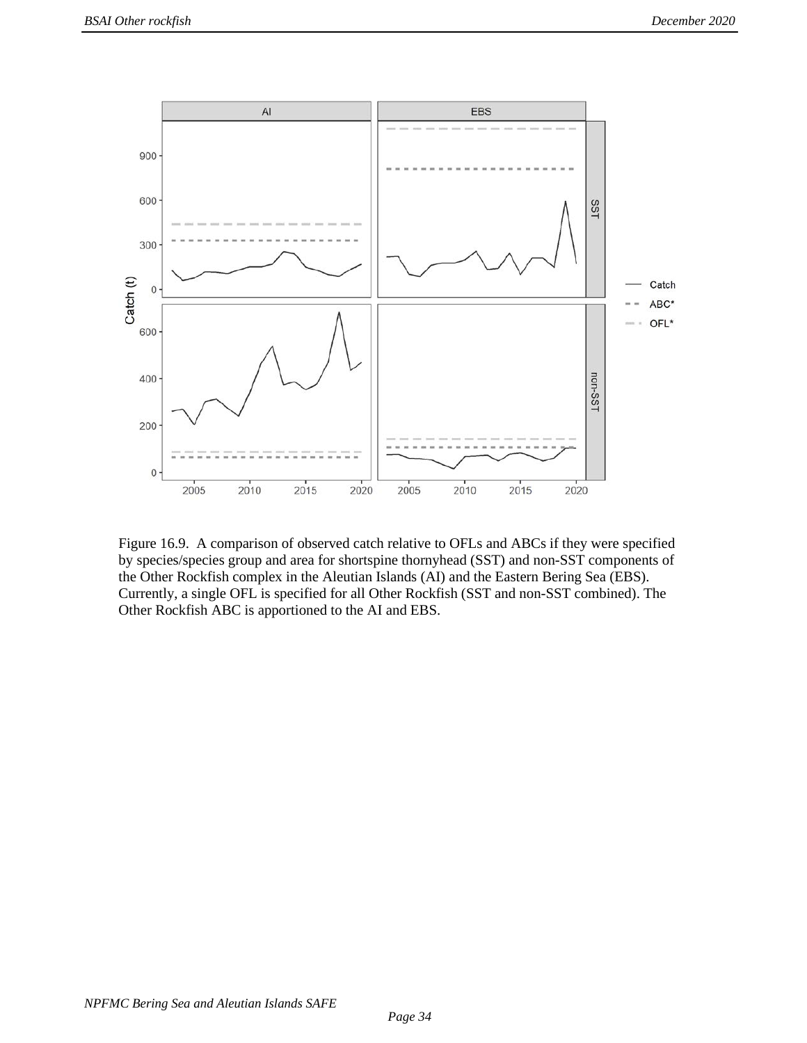

Figure 16.9. A comparison of observed catch relative to OFLs and ABCs if they were specified by species/species group and area for shortspine thornyhead (SST) and non-SST components of the Other Rockfish complex in the Aleutian Islands (AI) and the Eastern Bering Sea (EBS). Currently, a single OFL is specified for all Other Rockfish (SST and non-SST combined). The Other Rockfish ABC is apportioned to the AI and EBS.